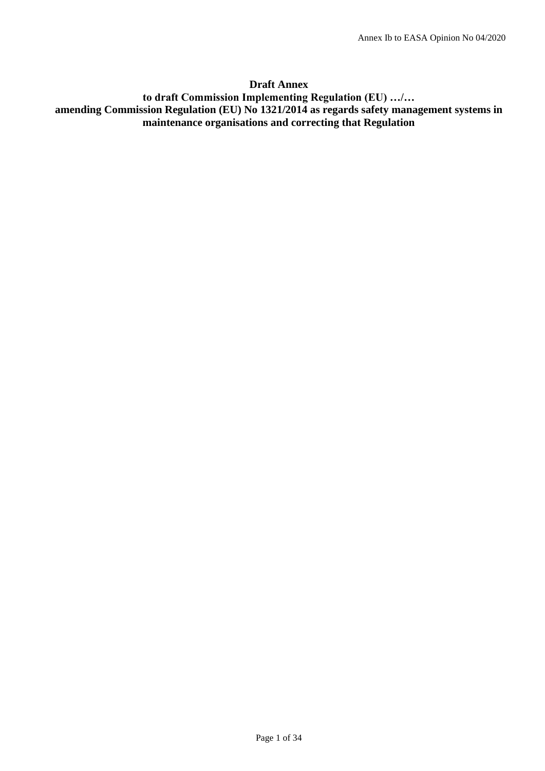# **Draft Annex**

# **to draft Commission Implementing Regulation (EU) …/… amending Commission Regulation (EU) No 1321/2014 as regards safety management systems in maintenance organisations and correcting that Regulation**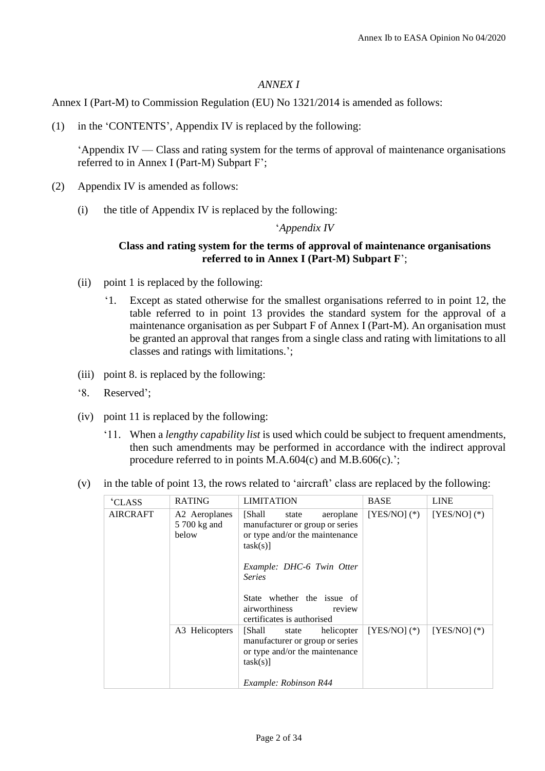### *ANNEX I*

Annex I (Part-M) to Commission Regulation (EU) No 1321/2014 is amended as follows:

(1) in the 'CONTENTS', Appendix IV is replaced by the following:

'Appendix IV — Class and rating system for the terms of approval of maintenance organisations referred to in Annex I (Part-M) Subpart F';

- (2) Appendix IV is amended as follows:
	- (i) the title of Appendix IV is replaced by the following:

## '*Appendix IV*

## **Class and rating system for the terms of approval of maintenance organisations referred to in Annex I (Part-M) Subpart F**';

- (ii) point 1 is replaced by the following:
	- '1. Except as stated otherwise for the smallest organisations referred to in point 12, the table referred to in point 13 provides the standard system for the approval of a maintenance organisation as per Subpart F of Annex I (Part-M). An organisation must be granted an approval that ranges from a single class and rating with limitations to all classes and ratings with limitations.';
- (iii) point 8. is replaced by the following:
- '8. Reserved';
- (iv) point 11 is replaced by the following:
	- '11. When a *lengthy capability list* is used which could be subject to frequent amendments, then such amendments may be performed in accordance with the indirect approval procedure referred to in points M.A.604(c) and M.B.606(c).';
- (v) in the table of point 13, the rows related to 'aircraft' class are replaced by the following:

| <b>CLASS</b>    | <b>RATING</b>                          | <b>LIMITATION</b>                                                                                                                                                                                                                                 | <b>BASE</b>      | <b>LINE</b>      |
|-----------------|----------------------------------------|---------------------------------------------------------------------------------------------------------------------------------------------------------------------------------------------------------------------------------------------------|------------------|------------------|
| <b>AIRCRAFT</b> | A2 Aeroplanes<br>5 700 kg and<br>helow | [Shall<br>aeroplane<br>state<br>manufacturer or group or series<br>or type and/or the maintenance<br>task(s)<br>Example: DHC-6 Twin Otter<br><b>Series</b><br>State whether the issue of<br>airworthiness<br>review<br>certificates is authorised | $[YES/NO]$ $(*)$ | $[YES/NO](*)$    |
|                 | A3 Helicopters                         | [Shall]<br>helicopter<br>state<br>manufacturer or group or series<br>or type and/or the maintenance<br>task(s)]<br>Example: Robinson R44                                                                                                          | $[YES/NO]$ $(*)$ | $[YES/NO]$ $(*)$ |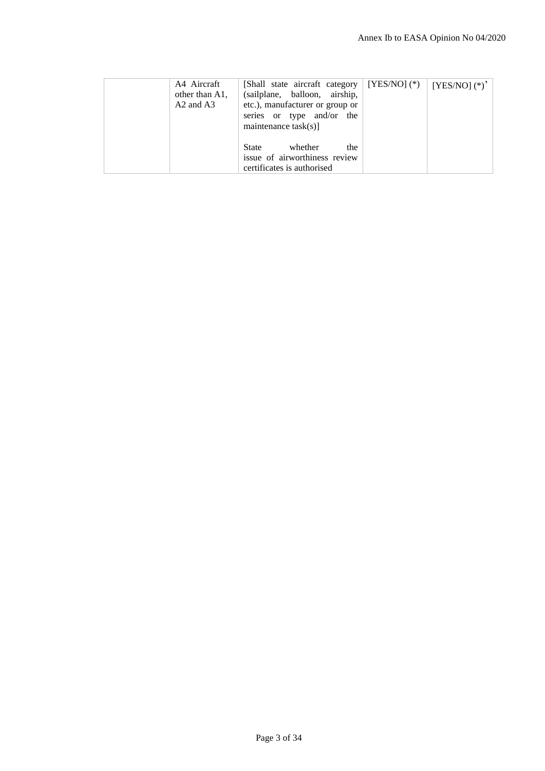|                                                                                               | A4 Aircraft<br>other than A1.<br>$A2$ and $A3$ | [Shall state aircraft category   [YES/NO] (*)<br>(sailplane, balloon, airship,<br>etc.), manufacturer or group or<br>series or type and/or the | $[YES/NO]$ $(*)$ <sup>2</sup> |
|-----------------------------------------------------------------------------------------------|------------------------------------------------|------------------------------------------------------------------------------------------------------------------------------------------------|-------------------------------|
| whether<br><b>State</b><br>the<br>issue of airworthiness review<br>certificates is authorised |                                                | maintenance $task(s)$ ]                                                                                                                        |                               |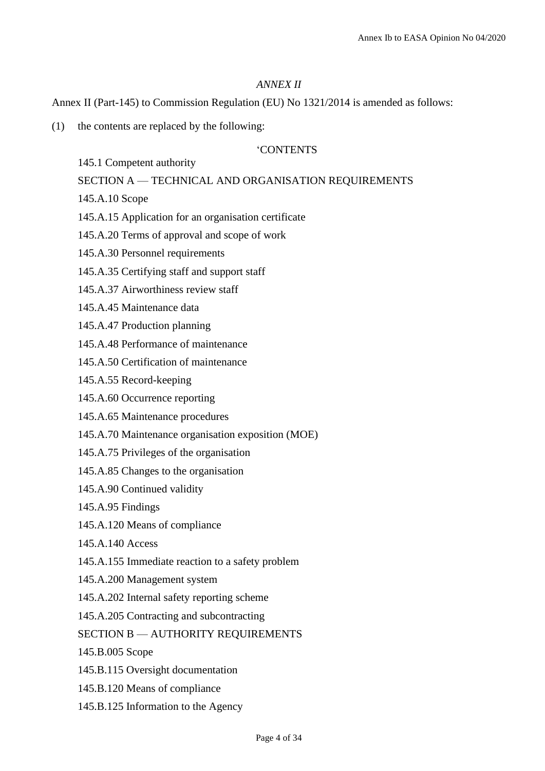### *ANNEX II*

Annex II (Part-145) to Commission Regulation (EU) No 1321/2014 is amended as follows:

(1) the contents are replaced by the following:

## 'CONTENTS

145.1 Competent authority

### SECTION A — TECHNICAL AND ORGANISATION REQUIREMENTS

- 145.A.10 Scope
- 145.A.15 Application for an organisation certificate
- 145.A.20 Terms of approval and scope of work
- 145.A.30 Personnel requirements
- 145.A.35 Certifying staff and support staff
- 145.A.37 Airworthiness review staff
- 145.A.45 Maintenance data
- 145.A.47 Production planning
- 145.A.48 Performance of maintenance
- 145.A.50 Certification of maintenance
- 145.A.55 Record-keeping
- 145.A.60 Occurrence reporting
- 145.A.65 Maintenance procedures
- 145.A.70 Maintenance organisation exposition (MOE)
- 145.A.75 Privileges of the organisation
- 145.A.85 Changes to the organisation
- 145.A.90 Continued validity
- 145.A.95 Findings
- 145.A.120 Means of compliance
- 145.A.140 Access
- 145.A.155 Immediate reaction to a safety problem
- 145.A.200 Management system
- 145.A.202 Internal safety reporting scheme
- 145.A.205 Contracting and subcontracting

SECTION B — AUTHORITY REQUIREMENTS

145.B.005 Scope

- 145.B.115 Oversight documentation
- 145.B.120 Means of compliance
- 145.B.125 Information to the Agency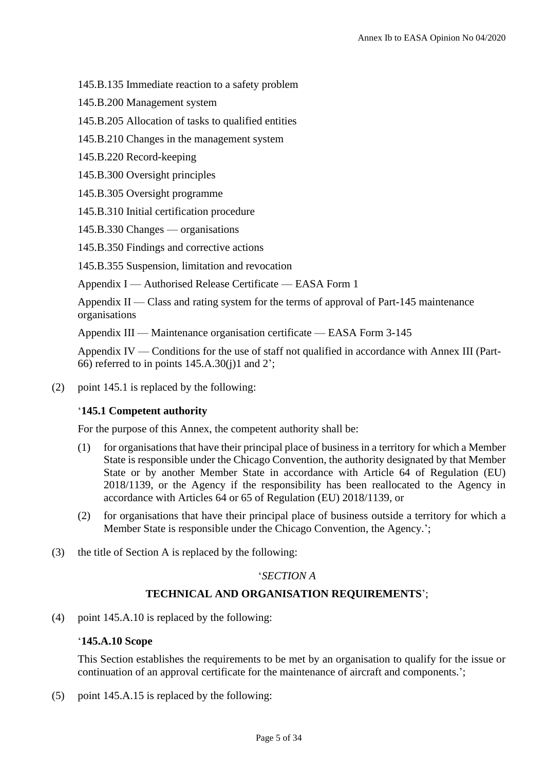145.B.135 Immediate reaction to a safety problem

145.B.200 Management system

145.B.205 Allocation of tasks to qualified entities

145.B.210 Changes in the management system

145.B.220 Record-keeping

145.B.300 Oversight principles

145.B.305 Oversight programme

145.B.310 Initial certification procedure

145.B.330 Changes — organisations

145.B.350 Findings and corrective actions

145.B.355 Suspension, limitation and revocation

Appendix I — Authorised Release Certificate — EASA Form 1

Appendix II — Class and rating system for the terms of approval of Part-145 maintenance organisations

Appendix III — Maintenance organisation certificate — EASA Form 3-145

Appendix IV — Conditions for the use of staff not qualified in accordance with Annex III (Part-66) referred to in points  $145.A.30(i)1$  and  $2$ ;

(2) point 145.1 is replaced by the following:

# '**145.1 Competent authority**

For the purpose of this Annex, the competent authority shall be:

- (1) for organisations that have their principal place of business in a territory for which a Member State is responsible under the Chicago Convention, the authority designated by that Member State or by another Member State in accordance with Article 64 of Regulation (EU) 2018/1139, or the Agency if the responsibility has been reallocated to the Agency in accordance with Articles 64 or 65 of Regulation (EU) 2018/1139, or
- (2) for organisations that have their principal place of business outside a territory for which a Member State is responsible under the Chicago Convention, the Agency.';
- (3) the title of Section A is replaced by the following:

## '*SECTION A*

# **TECHNICAL AND ORGANISATION REQUIREMENTS**';

(4) point 145.A.10 is replaced by the following:

## '**145.A.10 Scope**

This Section establishes the requirements to be met by an organisation to qualify for the issue or continuation of an approval certificate for the maintenance of aircraft and components.';

(5) point 145.A.15 is replaced by the following: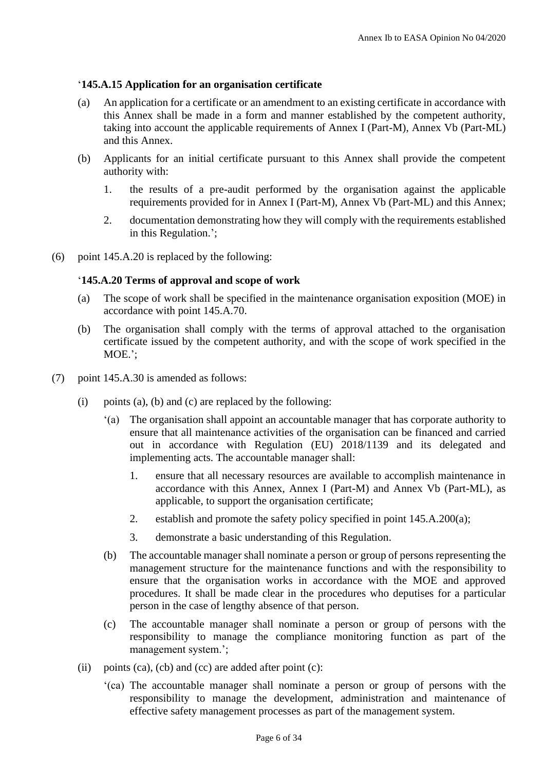# '**145.A.15 Application for an organisation certificate**

- (a) An application for a certificate or an amendment to an existing certificate in accordance with this Annex shall be made in a form and manner established by the competent authority, taking into account the applicable requirements of Annex I (Part-M), Annex Vb (Part-ML) and this Annex.
- (b) Applicants for an initial certificate pursuant to this Annex shall provide the competent authority with:
	- 1. the results of a pre-audit performed by the organisation against the applicable requirements provided for in Annex I (Part-M), Annex Vb (Part-ML) and this Annex;
	- 2. documentation demonstrating how they will comply with the requirements established in this Regulation.';
- (6) point 145.A.20 is replaced by the following:

## '**145.A.20 Terms of approval and scope of work**

- (a) The scope of work shall be specified in the maintenance organisation exposition (MOE) in accordance with point 145.A.70.
- (b) The organisation shall comply with the terms of approval attached to the organisation certificate issued by the competent authority, and with the scope of work specified in the MOE.';
- (7) point 145.A.30 is amended as follows:
	- (i) points (a), (b) and (c) are replaced by the following:
		- '(a) The organisation shall appoint an accountable manager that has corporate authority to ensure that all maintenance activities of the organisation can be financed and carried out in accordance with Regulation (EU) 2018/1139 and its delegated and implementing acts. The accountable manager shall:
			- 1. ensure that all necessary resources are available to accomplish maintenance in accordance with this Annex, Annex I (Part-M) and Annex Vb (Part-ML), as applicable, to support the organisation certificate;
			- 2. establish and promote the safety policy specified in point 145.A.200(a);
			- 3. demonstrate a basic understanding of this Regulation.
		- (b) The accountable manager shall nominate a person or group of persons representing the management structure for the maintenance functions and with the responsibility to ensure that the organisation works in accordance with the MOE and approved procedures. It shall be made clear in the procedures who deputises for a particular person in the case of lengthy absence of that person.
		- (c) The accountable manager shall nominate a person or group of persons with the responsibility to manage the compliance monitoring function as part of the management system.';
	- (ii) points (ca), (cb) and (cc) are added after point (c):
		- '(ca) The accountable manager shall nominate a person or group of persons with the responsibility to manage the development, administration and maintenance of effective safety management processes as part of the management system.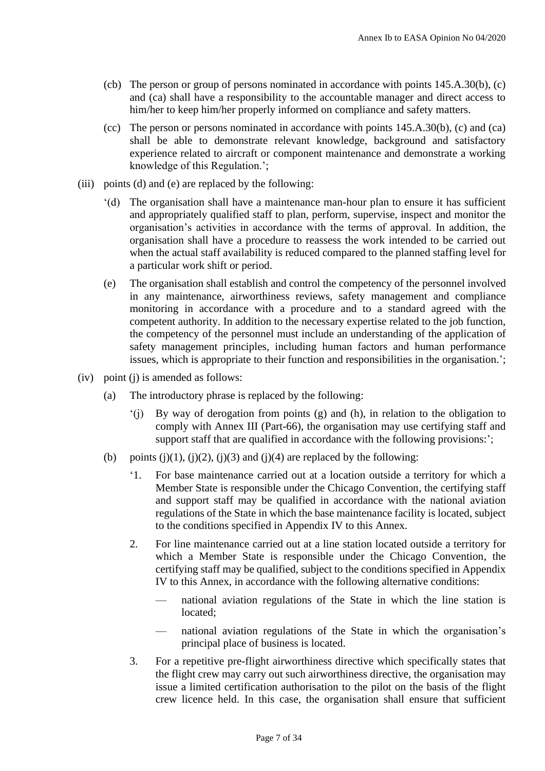- (cb) The person or group of persons nominated in accordance with points 145.A.30(b), (c) and (ca) shall have a responsibility to the accountable manager and direct access to him/her to keep him/her properly informed on compliance and safety matters.
- (cc) The person or persons nominated in accordance with points 145.A.30(b), (c) and (ca) shall be able to demonstrate relevant knowledge, background and satisfactory experience related to aircraft or component maintenance and demonstrate a working knowledge of this Regulation.';
- (iii) points (d) and (e) are replaced by the following:
	- '(d) The organisation shall have a maintenance man-hour plan to ensure it has sufficient and appropriately qualified staff to plan, perform, supervise, inspect and monitor the organisation's activities in accordance with the terms of approval. In addition, the organisation shall have a procedure to reassess the work intended to be carried out when the actual staff availability is reduced compared to the planned staffing level for a particular work shift or period.
	- (e) The organisation shall establish and control the competency of the personnel involved in any maintenance, airworthiness reviews, safety management and compliance monitoring in accordance with a procedure and to a standard agreed with the competent authority. In addition to the necessary expertise related to the job function, the competency of the personnel must include an understanding of the application of safety management principles, including human factors and human performance issues, which is appropriate to their function and responsibilities in the organisation.';
- (iv) point (j) is amended as follows:
	- (a) The introductory phrase is replaced by the following:
		- '(j) By way of derogation from points (g) and (h), in relation to the obligation to comply with Annex III (Part-66), the organisation may use certifying staff and support staff that are qualified in accordance with the following provisions:';
	- (b) points (j)(1), (j)(2), (j)(3) and (j)(4) are replaced by the following:
		- '1. For base maintenance carried out at a location outside a territory for which a Member State is responsible under the Chicago Convention, the certifying staff and support staff may be qualified in accordance with the national aviation regulations of the State in which the base maintenance facility is located, subject to the conditions specified in Appendix IV to this Annex.
		- 2. For line maintenance carried out at a line station located outside a territory for which a Member State is responsible under the Chicago Convention, the certifying staff may be qualified, subject to the conditions specified in Appendix IV to this Annex, in accordance with the following alternative conditions:
			- national aviation regulations of the State in which the line station is located;
			- national aviation regulations of the State in which the organisation's principal place of business is located.
		- 3. For a repetitive pre-flight airworthiness directive which specifically states that the flight crew may carry out such airworthiness directive, the organisation may issue a limited certification authorisation to the pilot on the basis of the flight crew licence held. In this case, the organisation shall ensure that sufficient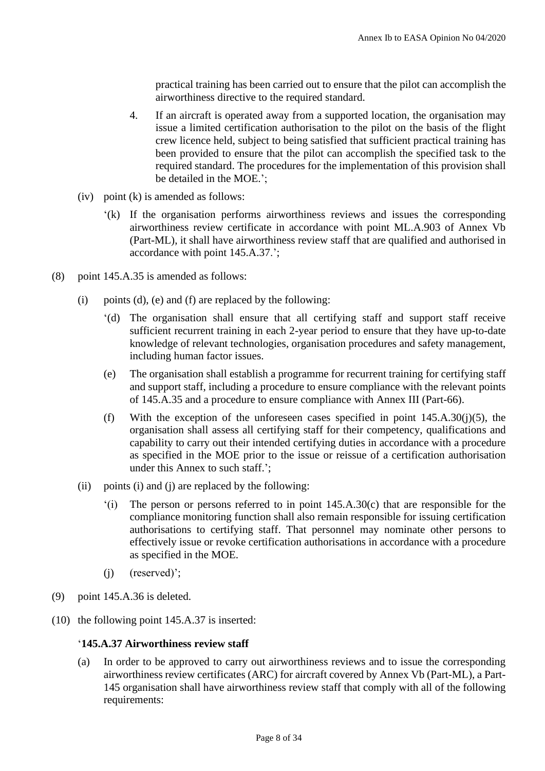practical training has been carried out to ensure that the pilot can accomplish the airworthiness directive to the required standard.

- 4. If an aircraft is operated away from a supported location, the organisation may issue a limited certification authorisation to the pilot on the basis of the flight crew licence held, subject to being satisfied that sufficient practical training has been provided to ensure that the pilot can accomplish the specified task to the required standard. The procedures for the implementation of this provision shall be detailed in the MOE.';
- (iv) point (k) is amended as follows:
	- '(k) If the organisation performs airworthiness reviews and issues the corresponding airworthiness review certificate in accordance with point ML.A.903 of Annex Vb (Part-ML), it shall have airworthiness review staff that are qualified and authorised in accordance with point 145.A.37.';
- (8) point 145.A.35 is amended as follows:
	- (i) points (d), (e) and (f) are replaced by the following:
		- '(d) The organisation shall ensure that all certifying staff and support staff receive sufficient recurrent training in each 2-year period to ensure that they have up-to-date knowledge of relevant technologies, organisation procedures and safety management, including human factor issues.
		- (e) The organisation shall establish a programme for recurrent training for certifying staff and support staff, including a procedure to ensure compliance with the relevant points of 145.A.35 and a procedure to ensure compliance with Annex III (Part-66).
		- (f) With the exception of the unforeseen cases specified in point  $145.A.30(i)(5)$ , the organisation shall assess all certifying staff for their competency, qualifications and capability to carry out their intended certifying duties in accordance with a procedure as specified in the MOE prior to the issue or reissue of a certification authorisation under this Annex to such staff.';
	- (ii) points (i) and (j) are replaced by the following:
		- '(i) The person or persons referred to in point 145.A.30(c) that are responsible for the compliance monitoring function shall also remain responsible for issuing certification authorisations to certifying staff. That personnel may nominate other persons to effectively issue or revoke certification authorisations in accordance with a procedure as specified in the MOE.
		- (j) (reserved)';
- (9) point 145.A.36 is deleted.
- (10) the following point 145.A.37 is inserted:

## '**145.A.37 Airworthiness review staff**

(a) In order to be approved to carry out airworthiness reviews and to issue the corresponding airworthiness review certificates (ARC) for aircraft covered by Annex Vb (Part-ML), a Part-145 organisation shall have airworthiness review staff that comply with all of the following requirements: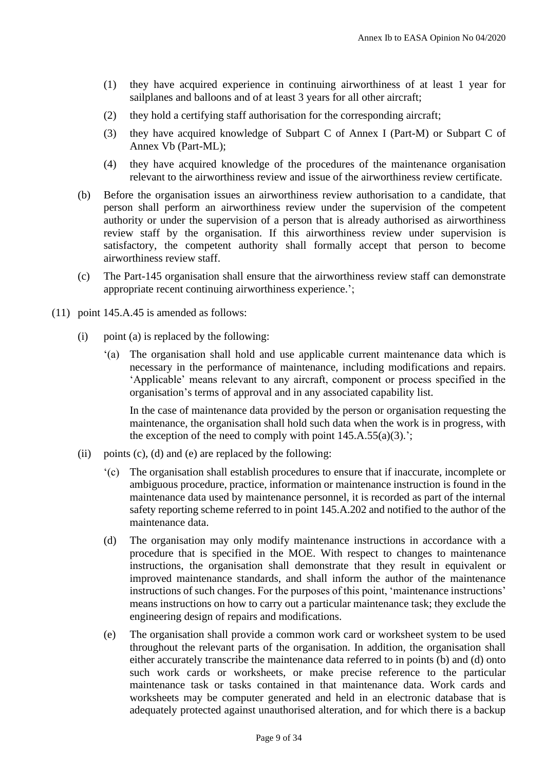- (1) they have acquired experience in continuing airworthiness of at least 1 year for sailplanes and balloons and of at least 3 years for all other aircraft;
- (2) they hold a certifying staff authorisation for the corresponding aircraft;
- (3) they have acquired knowledge of Subpart C of Annex I (Part-M) or Subpart C of Annex Vb (Part-ML);
- (4) they have acquired knowledge of the procedures of the maintenance organisation relevant to the airworthiness review and issue of the airworthiness review certificate.
- (b) Before the organisation issues an airworthiness review authorisation to a candidate, that person shall perform an airworthiness review under the supervision of the competent authority or under the supervision of a person that is already authorised as airworthiness review staff by the organisation. If this airworthiness review under supervision is satisfactory, the competent authority shall formally accept that person to become airworthiness review staff.
- (c) The Part-145 organisation shall ensure that the airworthiness review staff can demonstrate appropriate recent continuing airworthiness experience.';
- (11) point 145.A.45 is amended as follows:
	- (i) point (a) is replaced by the following:
		- '(a) The organisation shall hold and use applicable current maintenance data which is necessary in the performance of maintenance, including modifications and repairs. 'Applicable' means relevant to any aircraft, component or process specified in the organisation's terms of approval and in any associated capability list.

In the case of maintenance data provided by the person or organisation requesting the maintenance, the organisation shall hold such data when the work is in progress, with the exception of the need to comply with point  $145.A.55(a)(3)$ .';

- (ii) points  $(c)$ ,  $(d)$  and  $(e)$  are replaced by the following:
	- '(c) The organisation shall establish procedures to ensure that if inaccurate, incomplete or ambiguous procedure, practice, information or maintenance instruction is found in the maintenance data used by maintenance personnel, it is recorded as part of the internal safety reporting scheme referred to in point 145.A.202 and notified to the author of the maintenance data.
	- (d) The organisation may only modify maintenance instructions in accordance with a procedure that is specified in the MOE. With respect to changes to maintenance instructions, the organisation shall demonstrate that they result in equivalent or improved maintenance standards, and shall inform the author of the maintenance instructions of such changes. For the purposes of this point, 'maintenance instructions' means instructions on how to carry out a particular maintenance task; they exclude the engineering design of repairs and modifications.
	- (e) The organisation shall provide a common work card or worksheet system to be used throughout the relevant parts of the organisation. In addition, the organisation shall either accurately transcribe the maintenance data referred to in points (b) and (d) onto such work cards or worksheets, or make precise reference to the particular maintenance task or tasks contained in that maintenance data. Work cards and worksheets may be computer generated and held in an electronic database that is adequately protected against unauthorised alteration, and for which there is a backup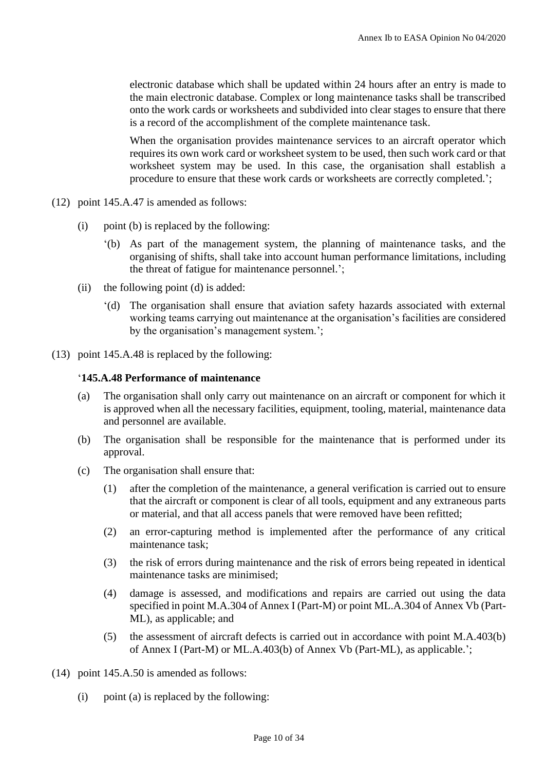electronic database which shall be updated within 24 hours after an entry is made to the main electronic database. Complex or long maintenance tasks shall be transcribed onto the work cards or worksheets and subdivided into clear stages to ensure that there is a record of the accomplishment of the complete maintenance task.

When the organisation provides maintenance services to an aircraft operator which requires its own work card or worksheet system to be used, then such work card or that worksheet system may be used. In this case, the organisation shall establish a procedure to ensure that these work cards or worksheets are correctly completed.';

- (12) point 145.A.47 is amended as follows:
	- (i) point (b) is replaced by the following:
		- '(b) As part of the management system, the planning of maintenance tasks, and the organising of shifts, shall take into account human performance limitations, including the threat of fatigue for maintenance personnel.';
	- (ii) the following point (d) is added:
		- '(d) The organisation shall ensure that aviation safety hazards associated with external working teams carrying out maintenance at the organisation's facilities are considered by the organisation's management system.';
- (13) point 145.A.48 is replaced by the following:

## '**145.A.48 Performance of maintenance**

- (a) The organisation shall only carry out maintenance on an aircraft or component for which it is approved when all the necessary facilities, equipment, tooling, material, maintenance data and personnel are available.
- (b) The organisation shall be responsible for the maintenance that is performed under its approval.
- (c) The organisation shall ensure that:
	- (1) after the completion of the maintenance, a general verification is carried out to ensure that the aircraft or component is clear of all tools, equipment and any extraneous parts or material, and that all access panels that were removed have been refitted;
	- (2) an error-capturing method is implemented after the performance of any critical maintenance task;
	- (3) the risk of errors during maintenance and the risk of errors being repeated in identical maintenance tasks are minimised;
	- (4) damage is assessed, and modifications and repairs are carried out using the data specified in point M.A.304 of Annex I (Part-M) or point ML.A.304 of Annex Vb (Part-ML), as applicable; and
	- (5) the assessment of aircraft defects is carried out in accordance with point M.A.403(b) of Annex I (Part-M) or ML.A.403(b) of Annex Vb (Part-ML), as applicable.';
- (14) point 145.A.50 is amended as follows:
	- (i) point (a) is replaced by the following: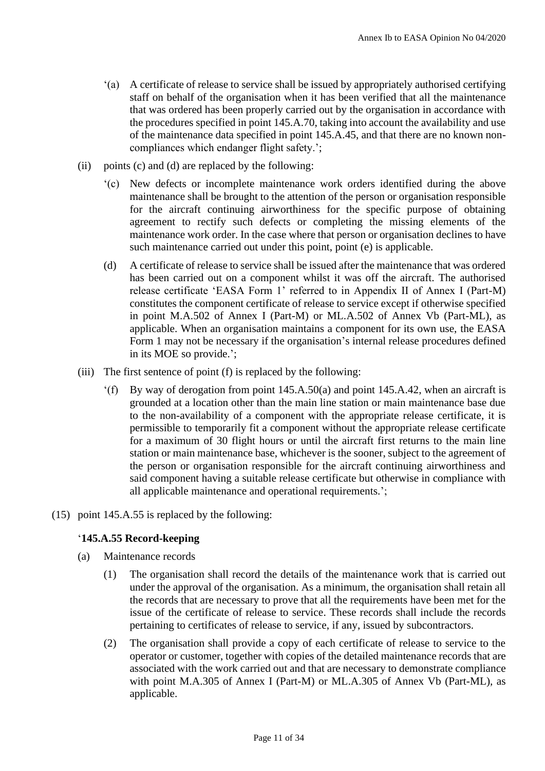- '(a) A certificate of release to service shall be issued by appropriately authorised certifying staff on behalf of the organisation when it has been verified that all the maintenance that was ordered has been properly carried out by the organisation in accordance with the procedures specified in point 145.A.70, taking into account the availability and use of the maintenance data specified in point 145.A.45, and that there are no known noncompliances which endanger flight safety.';
- (ii) points (c) and (d) are replaced by the following:
	- '(c) New defects or incomplete maintenance work orders identified during the above maintenance shall be brought to the attention of the person or organisation responsible for the aircraft continuing airworthiness for the specific purpose of obtaining agreement to rectify such defects or completing the missing elements of the maintenance work order. In the case where that person or organisation declines to have such maintenance carried out under this point, point (e) is applicable.
	- (d) A certificate of release to service shall be issued after the maintenance that was ordered has been carried out on a component whilst it was off the aircraft. The authorised release certificate 'EASA Form 1' referred to in Appendix II of Annex I (Part-M) constitutes the component certificate of release to service except if otherwise specified in point M.A.502 of Annex I (Part-M) or ML.A.502 of Annex Vb (Part-ML), as applicable. When an organisation maintains a component for its own use, the EASA Form 1 may not be necessary if the organisation's internal release procedures defined in its MOE so provide.';
- (iii) The first sentence of point (f) is replaced by the following:
	- '(f) By way of derogation from point 145.A.50(a) and point 145.A.42, when an aircraft is grounded at a location other than the main line station or main maintenance base due to the non-availability of a component with the appropriate release certificate, it is permissible to temporarily fit a component without the appropriate release certificate for a maximum of 30 flight hours or until the aircraft first returns to the main line station or main maintenance base, whichever is the sooner, subject to the agreement of the person or organisation responsible for the aircraft continuing airworthiness and said component having a suitable release certificate but otherwise in compliance with all applicable maintenance and operational requirements.';
- (15) point 145.A.55 is replaced by the following:

## '**145.A.55 Record-keeping**

- (a) Maintenance records
	- (1) The organisation shall record the details of the maintenance work that is carried out under the approval of the organisation. As a minimum, the organisation shall retain all the records that are necessary to prove that all the requirements have been met for the issue of the certificate of release to service. These records shall include the records pertaining to certificates of release to service, if any, issued by subcontractors.
	- (2) The organisation shall provide a copy of each certificate of release to service to the operator or customer, together with copies of the detailed maintenance records that are associated with the work carried out and that are necessary to demonstrate compliance with point M.A.305 of Annex I (Part-M) or ML.A.305 of Annex Vb (Part-ML), as applicable.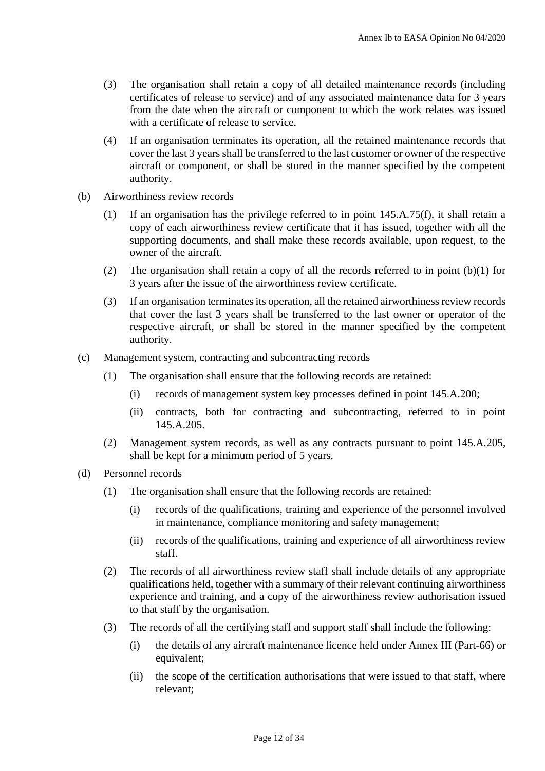- (3) The organisation shall retain a copy of all detailed maintenance records (including certificates of release to service) and of any associated maintenance data for 3 years from the date when the aircraft or component to which the work relates was issued with a certificate of release to service.
- (4) If an organisation terminates its operation, all the retained maintenance records that cover the last 3 years shall be transferred to the last customer or owner of the respective aircraft or component, or shall be stored in the manner specified by the competent authority.
- (b) Airworthiness review records
	- (1) If an organisation has the privilege referred to in point 145.A.75(f), it shall retain a copy of each airworthiness review certificate that it has issued, together with all the supporting documents, and shall make these records available, upon request, to the owner of the aircraft.
	- (2) The organisation shall retain a copy of all the records referred to in point (b)(1) for 3 years after the issue of the airworthiness review certificate.
	- (3) If an organisation terminates its operation, all the retained airworthiness review records that cover the last 3 years shall be transferred to the last owner or operator of the respective aircraft, or shall be stored in the manner specified by the competent authority.
- (c) Management system, contracting and subcontracting records
	- (1) The organisation shall ensure that the following records are retained:
		- (i) records of management system key processes defined in point 145.A.200;
		- (ii) contracts, both for contracting and subcontracting, referred to in point 145.A.205.
	- (2) Management system records, as well as any contracts pursuant to point 145.A.205, shall be kept for a minimum period of 5 years.
- (d) Personnel records
	- (1) The organisation shall ensure that the following records are retained:
		- (i) records of the qualifications, training and experience of the personnel involved in maintenance, compliance monitoring and safety management;
		- (ii) records of the qualifications, training and experience of all airworthiness review staff.
	- (2) The records of all airworthiness review staff shall include details of any appropriate qualifications held, together with a summary of their relevant continuing airworthiness experience and training, and a copy of the airworthiness review authorisation issued to that staff by the organisation.
	- (3) The records of all the certifying staff and support staff shall include the following:
		- (i) the details of any aircraft maintenance licence held under Annex III (Part-66) or equivalent;
		- (ii) the scope of the certification authorisations that were issued to that staff, where relevant;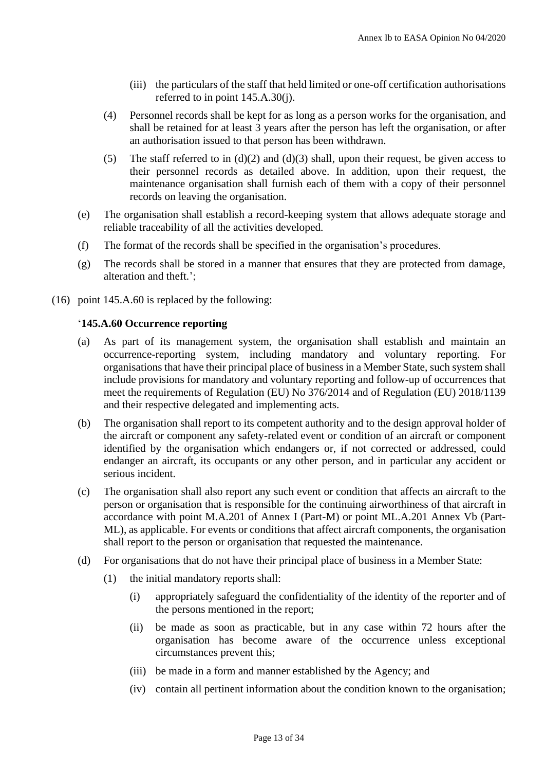- (iii) the particulars of the staff that held limited or one-off certification authorisations referred to in point 145.A.30(j).
- (4) Personnel records shall be kept for as long as a person works for the organisation, and shall be retained for at least 3 years after the person has left the organisation, or after an authorisation issued to that person has been withdrawn.
- (5) The staff referred to in  $(d)(2)$  and  $(d)(3)$  shall, upon their request, be given access to their personnel records as detailed above. In addition, upon their request, the maintenance organisation shall furnish each of them with a copy of their personnel records on leaving the organisation.
- (e) The organisation shall establish a record-keeping system that allows adequate storage and reliable traceability of all the activities developed.
- (f) The format of the records shall be specified in the organisation's procedures.
- (g) The records shall be stored in a manner that ensures that they are protected from damage, alteration and theft.';
- (16) point 145.A.60 is replaced by the following:

# '**145.A.60 Occurrence reporting**

- (a) As part of its management system, the organisation shall establish and maintain an occurrence-reporting system, including mandatory and voluntary reporting. For organisations that have their principal place of business in a Member State, such system shall include provisions for mandatory and voluntary reporting and follow-up of occurrences that meet the requirements of Regulation (EU) No 376/2014 and of Regulation (EU) 2018/1139 and their respective delegated and implementing acts.
- (b) The organisation shall report to its competent authority and to the design approval holder of the aircraft or component any safety-related event or condition of an aircraft or component identified by the organisation which endangers or, if not corrected or addressed, could endanger an aircraft, its occupants or any other person, and in particular any accident or serious incident.
- (c) The organisation shall also report any such event or condition that affects an aircraft to the person or organisation that is responsible for the continuing airworthiness of that aircraft in accordance with point M.A.201 of Annex I (Part-M) or point ML.A.201 Annex Vb (Part-ML), as applicable. For events or conditions that affect aircraft components, the organisation shall report to the person or organisation that requested the maintenance.
- (d) For organisations that do not have their principal place of business in a Member State:
	- (1) the initial mandatory reports shall:
		- (i) appropriately safeguard the confidentiality of the identity of the reporter and of the persons mentioned in the report;
		- (ii) be made as soon as practicable, but in any case within 72 hours after the organisation has become aware of the occurrence unless exceptional circumstances prevent this;
		- (iii) be made in a form and manner established by the Agency; and
		- (iv) contain all pertinent information about the condition known to the organisation;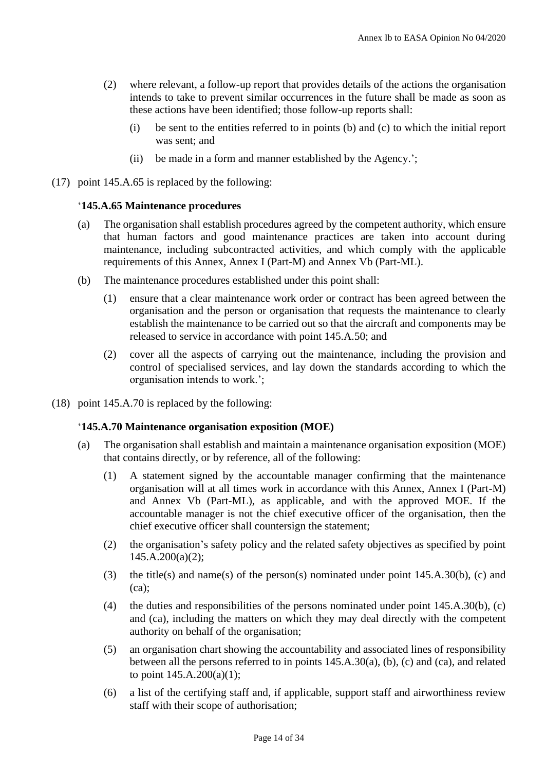- (2) where relevant, a follow-up report that provides details of the actions the organisation intends to take to prevent similar occurrences in the future shall be made as soon as these actions have been identified; those follow-up reports shall:
	- (i) be sent to the entities referred to in points (b) and (c) to which the initial report was sent; and
	- (ii) be made in a form and manner established by the Agency.';
- (17) point 145.A.65 is replaced by the following:

# '**145.A.65 Maintenance procedures**

- (a) The organisation shall establish procedures agreed by the competent authority, which ensure that human factors and good maintenance practices are taken into account during maintenance, including subcontracted activities, and which comply with the applicable requirements of this Annex, Annex I (Part-M) and Annex Vb (Part-ML).
- (b) The maintenance procedures established under this point shall:
	- (1) ensure that a clear maintenance work order or contract has been agreed between the organisation and the person or organisation that requests the maintenance to clearly establish the maintenance to be carried out so that the aircraft and components may be released to service in accordance with point 145.A.50; and
	- (2) cover all the aspects of carrying out the maintenance, including the provision and control of specialised services, and lay down the standards according to which the organisation intends to work.';
- (18) point 145.A.70 is replaced by the following:

## '**145.A.70 Maintenance organisation exposition (MOE)**

- (a) The organisation shall establish and maintain a maintenance organisation exposition (MOE) that contains directly, or by reference, all of the following:
	- (1) A statement signed by the accountable manager confirming that the maintenance organisation will at all times work in accordance with this Annex, Annex I (Part-M) and Annex Vb (Part-ML), as applicable, and with the approved MOE. If the accountable manager is not the chief executive officer of the organisation, then the chief executive officer shall countersign the statement;
	- (2) the organisation's safety policy and the related safety objectives as specified by point  $145.A.200(a)(2);$
	- (3) the title(s) and name(s) of the person(s) nominated under point 145.A.30(b), (c) and (ca);
	- (4) the duties and responsibilities of the persons nominated under point 145.A.30(b), (c) and (ca), including the matters on which they may deal directly with the competent authority on behalf of the organisation;
	- (5) an organisation chart showing the accountability and associated lines of responsibility between all the persons referred to in points 145.A.30(a), (b), (c) and (ca), and related to point  $145.A.200(a)(1);$
	- (6) a list of the certifying staff and, if applicable, support staff and airworthiness review staff with their scope of authorisation;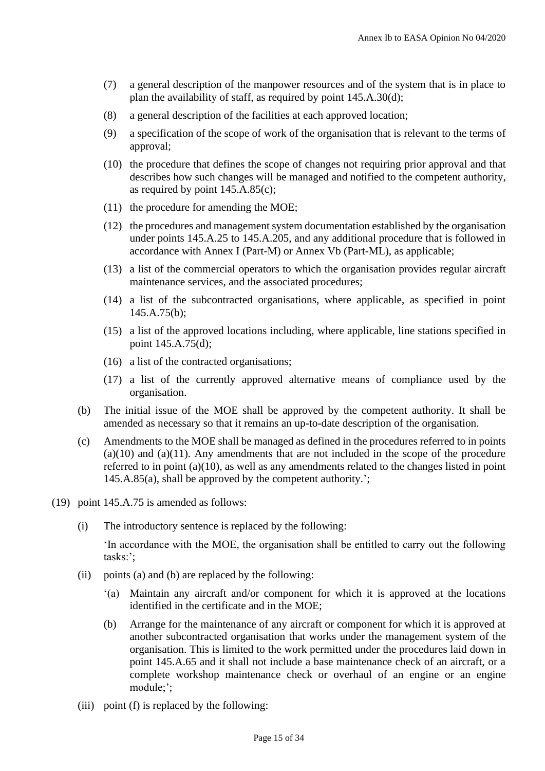- (7) a general description of the manpower resources and of the system that is in place to plan the availability of staff, as required by point 145.A.30(d);
- (8) a general description of the facilities at each approved location;
- (9) a specification of the scope of work of the organisation that is relevant to the terms of approval;
- (10) the procedure that defines the scope of changes not requiring prior approval and that describes how such changes will be managed and notified to the competent authority, as required by point 145.A.85(c);
- (11) the procedure for amending the MOE;
- (12) the procedures and management system documentation established by the organisation under points 145.A.25 to 145.A.205, and any additional procedure that is followed in accordance with Annex I (Part-M) or Annex Vb (Part-ML), as applicable;
- (13) a list of the commercial operators to which the organisation provides regular aircraft maintenance services, and the associated procedures;
- (14) a list of the subcontracted organisations, where applicable, as specified in point 145.A.75(b);
- (15) a list of the approved locations including, where applicable, line stations specified in point 145.A.75(d);
- (16) a list of the contracted organisations;
- (17) a list of the currently approved alternative means of compliance used by the organisation.
- (b) The initial issue of the MOE shall be approved by the competent authority. It shall be amended as necessary so that it remains an up-to-date description of the organisation.
- (c) Amendments to the MOE shall be managed as defined in the procedures referred to in points  $(a)(10)$  and  $(a)(11)$ . Any amendments that are not included in the scope of the procedure referred to in point (a)(10), as well as any amendments related to the changes listed in point 145.A.85(a), shall be approved by the competent authority.';
- (19) point 145.A.75 is amended as follows:
	- (i) The introductory sentence is replaced by the following:

'In accordance with the MOE, the organisation shall be entitled to carry out the following tasks:';

- (ii) points (a) and (b) are replaced by the following:
	- '(a) Maintain any aircraft and/or component for which it is approved at the locations identified in the certificate and in the MOE;
	- (b) Arrange for the maintenance of any aircraft or component for which it is approved at another subcontracted organisation that works under the management system of the organisation. This is limited to the work permitted under the procedures laid down in point 145.A.65 and it shall not include a base maintenance check of an aircraft, or a complete workshop maintenance check or overhaul of an engine or an engine module;';
- (iii) point (f) is replaced by the following: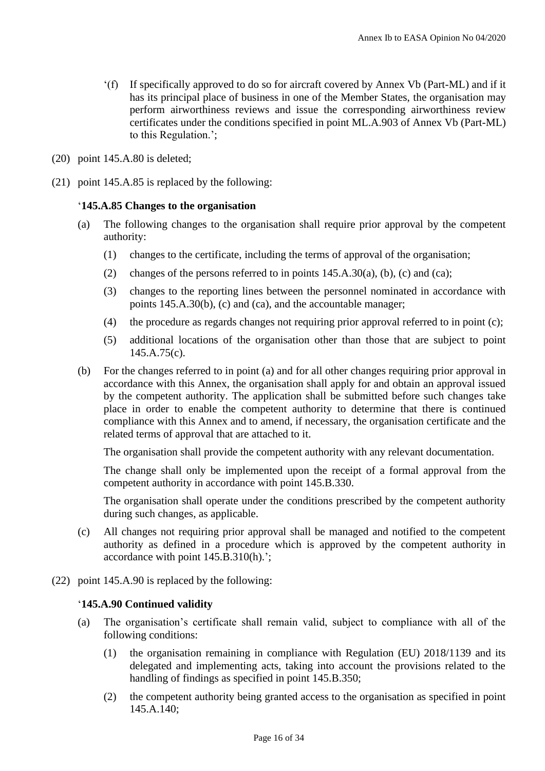- '(f) If specifically approved to do so for aircraft covered by Annex Vb (Part-ML) and if it has its principal place of business in one of the Member States, the organisation may perform airworthiness reviews and issue the corresponding airworthiness review certificates under the conditions specified in point ML.A.903 of Annex Vb (Part-ML) to this Regulation.';
- (20) point 145.A.80 is deleted;
- (21) point 145.A.85 is replaced by the following:

### '**145.A.85 Changes to the organisation**

- (a) The following changes to the organisation shall require prior approval by the competent authority:
	- (1) changes to the certificate, including the terms of approval of the organisation;
	- (2) changes of the persons referred to in points  $145.A.30(a)$ , (b), (c) and (ca);
	- (3) changes to the reporting lines between the personnel nominated in accordance with points 145.A.30(b), (c) and (ca), and the accountable manager;
	- (4) the procedure as regards changes not requiring prior approval referred to in point (c);
	- (5) additional locations of the organisation other than those that are subject to point 145.A.75(c).
- (b) For the changes referred to in point (a) and for all other changes requiring prior approval in accordance with this Annex, the organisation shall apply for and obtain an approval issued by the competent authority. The application shall be submitted before such changes take place in order to enable the competent authority to determine that there is continued compliance with this Annex and to amend, if necessary, the organisation certificate and the related terms of approval that are attached to it.

The organisation shall provide the competent authority with any relevant documentation.

The change shall only be implemented upon the receipt of a formal approval from the competent authority in accordance with point 145.B.330.

The organisation shall operate under the conditions prescribed by the competent authority during such changes, as applicable.

- (c) All changes not requiring prior approval shall be managed and notified to the competent authority as defined in a procedure which is approved by the competent authority in accordance with point 145.B.310(h).';
- (22) point 145.A.90 is replaced by the following:

### '**145.A.90 Continued validity**

- (a) The organisation's certificate shall remain valid, subject to compliance with all of the following conditions:
	- (1) the organisation remaining in compliance with Regulation (EU) 2018/1139 and its delegated and implementing acts, taking into account the provisions related to the handling of findings as specified in point 145.B.350;
	- (2) the competent authority being granted access to the organisation as specified in point 145.A.140;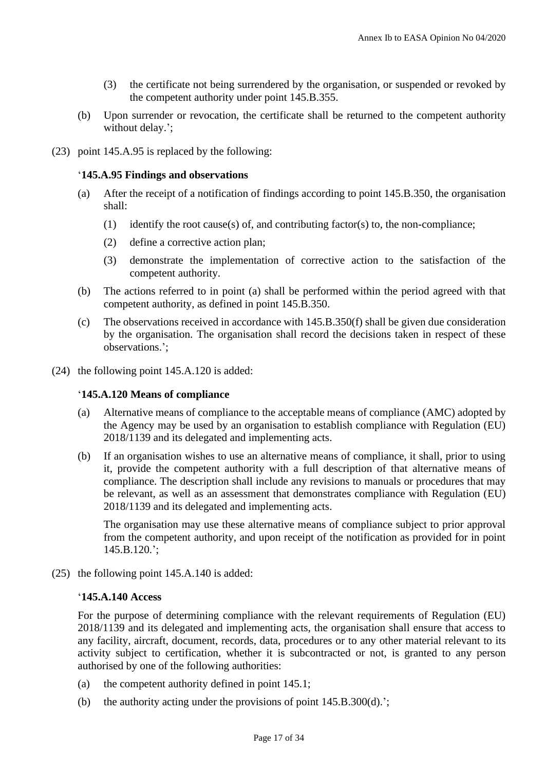- (3) the certificate not being surrendered by the organisation, or suspended or revoked by the competent authority under point 145.B.355.
- (b) Upon surrender or revocation, the certificate shall be returned to the competent authority without delay.';
- (23) point 145.A.95 is replaced by the following:

# '**145.A.95 Findings and observations**

- (a) After the receipt of a notification of findings according to point 145.B.350, the organisation shall:
	- (1) identify the root cause(s) of, and contributing factor(s) to, the non-compliance;
	- (2) define a corrective action plan;
	- (3) demonstrate the implementation of corrective action to the satisfaction of the competent authority.
- (b) The actions referred to in point (a) shall be performed within the period agreed with that competent authority, as defined in point 145.B.350.
- (c) The observations received in accordance with 145.B.350(f) shall be given due consideration by the organisation. The organisation shall record the decisions taken in respect of these observations.';
- (24) the following point 145.A.120 is added:

## '**145.A.120 Means of compliance**

- (a) Alternative means of compliance to the acceptable means of compliance (AMC) adopted by the Agency may be used by an organisation to establish compliance with Regulation (EU) 2018/1139 and its delegated and implementing acts.
- (b) If an organisation wishes to use an alternative means of compliance, it shall, prior to using it, provide the competent authority with a full description of that alternative means of compliance. The description shall include any revisions to manuals or procedures that may be relevant, as well as an assessment that demonstrates compliance with Regulation (EU) 2018/1139 and its delegated and implementing acts.

The organisation may use these alternative means of compliance subject to prior approval from the competent authority, and upon receipt of the notification as provided for in point 145.B.120.';

(25) the following point 145.A.140 is added:

# '**145.A.140 Access**

For the purpose of determining compliance with the relevant requirements of Regulation (EU) 2018/1139 and its delegated and implementing acts, the organisation shall ensure that access to any facility, aircraft, document, records, data, procedures or to any other material relevant to its activity subject to certification, whether it is subcontracted or not, is granted to any person authorised by one of the following authorities:

- (a) the competent authority defined in point 145.1;
- (b) the authority acting under the provisions of point  $145.B.300(d)$ .';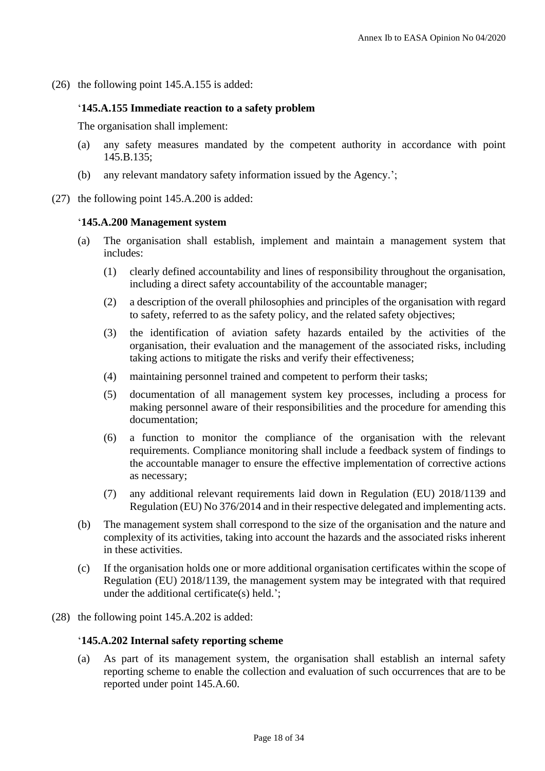(26) the following point 145.A.155 is added:

### '**145.A.155 Immediate reaction to a safety problem**

The organisation shall implement:

- (a) any safety measures mandated by the competent authority in accordance with point 145.B.135;
- (b) any relevant mandatory safety information issued by the Agency.';
- (27) the following point 145.A.200 is added:

#### '**145.A.200 Management system**

- (a) The organisation shall establish, implement and maintain a management system that includes:
	- (1) clearly defined accountability and lines of responsibility throughout the organisation, including a direct safety accountability of the accountable manager;
	- (2) a description of the overall philosophies and principles of the organisation with regard to safety, referred to as the safety policy, and the related safety objectives;
	- (3) the identification of aviation safety hazards entailed by the activities of the organisation, their evaluation and the management of the associated risks, including taking actions to mitigate the risks and verify their effectiveness;
	- (4) maintaining personnel trained and competent to perform their tasks;
	- (5) documentation of all management system key processes, including a process for making personnel aware of their responsibilities and the procedure for amending this documentation;
	- (6) a function to monitor the compliance of the organisation with the relevant requirements. Compliance monitoring shall include a feedback system of findings to the accountable manager to ensure the effective implementation of corrective actions as necessary;
	- (7) any additional relevant requirements laid down in Regulation (EU) 2018/1139 and Regulation (EU) No 376/2014 and in their respective delegated and implementing acts.
- (b) The management system shall correspond to the size of the organisation and the nature and complexity of its activities, taking into account the hazards and the associated risks inherent in these activities.
- (c) If the organisation holds one or more additional organisation certificates within the scope of Regulation (EU) 2018/1139, the management system may be integrated with that required under the additional certificate(s) held.';
- (28) the following point 145.A.202 is added:

#### '**145.A.202 Internal safety reporting scheme**

(a) As part of its management system, the organisation shall establish an internal safety reporting scheme to enable the collection and evaluation of such occurrences that are to be reported under point 145.A.60.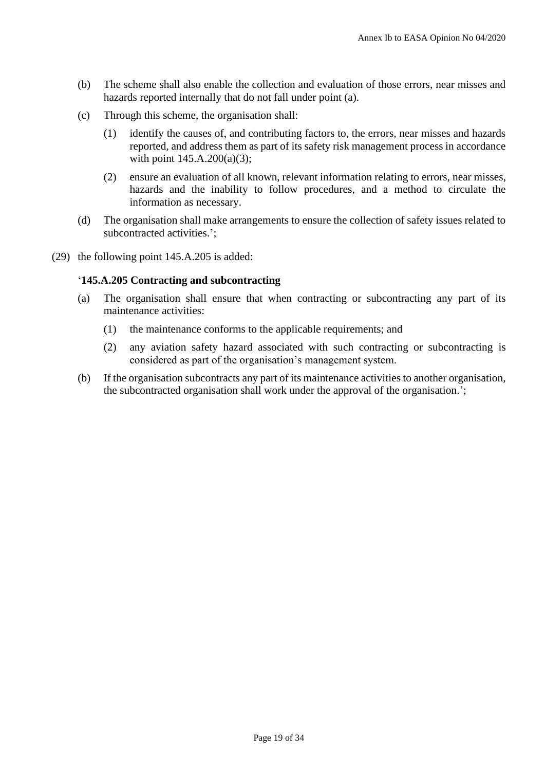- (b) The scheme shall also enable the collection and evaluation of those errors, near misses and hazards reported internally that do not fall under point (a).
- (c) Through this scheme, the organisation shall:
	- (1) identify the causes of, and contributing factors to, the errors, near misses and hazards reported, and address them as part of its safety risk management process in accordance with point 145.A.200(a)(3);
	- (2) ensure an evaluation of all known, relevant information relating to errors, near misses, hazards and the inability to follow procedures, and a method to circulate the information as necessary.
- (d) The organisation shall make arrangements to ensure the collection of safety issues related to subcontracted activities.';
- (29) the following point 145.A.205 is added:

# '**145.A.205 Contracting and subcontracting**

- (a) The organisation shall ensure that when contracting or subcontracting any part of its maintenance activities:
	- (1) the maintenance conforms to the applicable requirements; and
	- (2) any aviation safety hazard associated with such contracting or subcontracting is considered as part of the organisation's management system.
- (b) If the organisation subcontracts any part of its maintenance activities to another organisation, the subcontracted organisation shall work under the approval of the organisation.';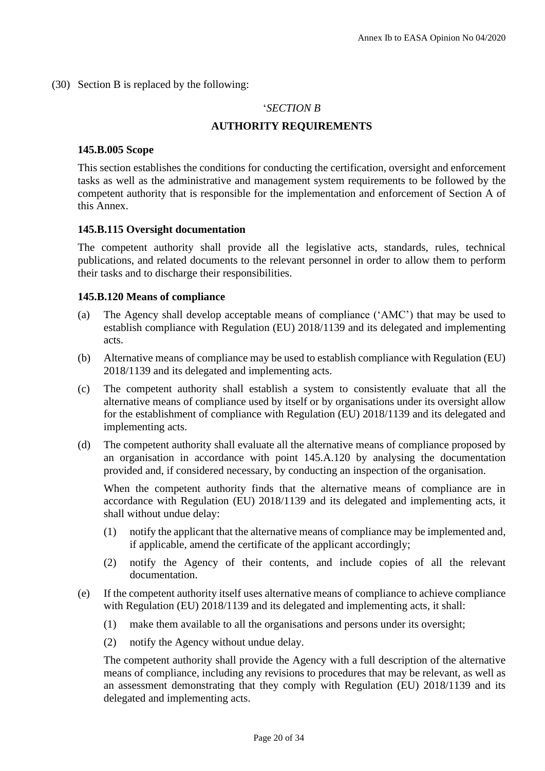(30) Section B is replaced by the following:

### '*SECTION B*

## **AUTHORITY REQUIREMENTS**

### **145.B.005 Scope**

This section establishes the conditions for conducting the certification, oversight and enforcement tasks as well as the administrative and management system requirements to be followed by the competent authority that is responsible for the implementation and enforcement of Section A of this Annex.

## **145.B.115 Oversight documentation**

The competent authority shall provide all the legislative acts, standards, rules, technical publications, and related documents to the relevant personnel in order to allow them to perform their tasks and to discharge their responsibilities.

### **145.B.120 Means of compliance**

- (a) The Agency shall develop acceptable means of compliance ('AMC') that may be used to establish compliance with Regulation (EU) 2018/1139 and its delegated and implementing acts.
- (b) Alternative means of compliance may be used to establish compliance with Regulation (EU) 2018/1139 and its delegated and implementing acts.
- (c) The competent authority shall establish a system to consistently evaluate that all the alternative means of compliance used by itself or by organisations under its oversight allow for the establishment of compliance with Regulation (EU) 2018/1139 and its delegated and implementing acts.
- (d) The competent authority shall evaluate all the alternative means of compliance proposed by an organisation in accordance with point 145.A.120 by analysing the documentation provided and, if considered necessary, by conducting an inspection of the organisation.

When the competent authority finds that the alternative means of compliance are in accordance with Regulation (EU) 2018/1139 and its delegated and implementing acts, it shall without undue delay:

- (1) notify the applicant that the alternative means of compliance may be implemented and, if applicable, amend the certificate of the applicant accordingly;
- (2) notify the Agency of their contents, and include copies of all the relevant documentation.
- (e) If the competent authority itself uses alternative means of compliance to achieve compliance with Regulation (EU) 2018/1139 and its delegated and implementing acts, it shall:
	- (1) make them available to all the organisations and persons under its oversight;
	- (2) notify the Agency without undue delay.

The competent authority shall provide the Agency with a full description of the alternative means of compliance, including any revisions to procedures that may be relevant, as well as an assessment demonstrating that they comply with Regulation (EU) 2018/1139 and its delegated and implementing acts.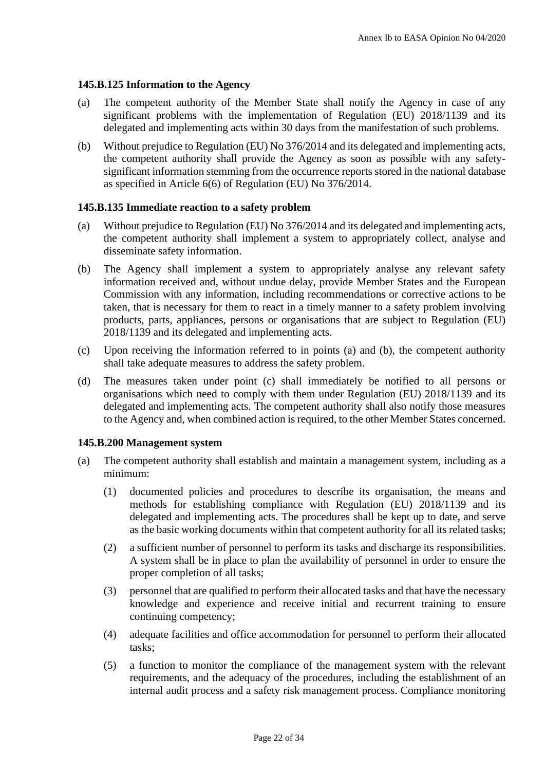# **145.B.125 Information to the Agency**

- (a) The competent authority of the Member State shall notify the Agency in case of any significant problems with the implementation of Regulation (EU) 2018/1139 and its delegated and implementing acts within 30 days from the manifestation of such problems.
- (b) Without prejudice to Regulation (EU) No 376/2014 and its delegated and implementing acts, the competent authority shall provide the Agency as soon as possible with any safetysignificant information stemming from the occurrence reports stored in the national database as specified in Article 6(6) of Regulation (EU) No 376/2014.

## **145.B.135 Immediate reaction to a safety problem**

- (a) Without prejudice to Regulation (EU) No 376/2014 and its delegated and implementing acts, the competent authority shall implement a system to appropriately collect, analyse and disseminate safety information.
- (b) The Agency shall implement a system to appropriately analyse any relevant safety information received and, without undue delay, provide Member States and the European Commission with any information, including recommendations or corrective actions to be taken, that is necessary for them to react in a timely manner to a safety problem involving products, parts, appliances, persons or organisations that are subject to Regulation (EU) 2018/1139 and its delegated and implementing acts.
- (c) Upon receiving the information referred to in points (a) and (b), the competent authority shall take adequate measures to address the safety problem.
- (d) The measures taken under point (c) shall immediately be notified to all persons or organisations which need to comply with them under Regulation (EU) 2018/1139 and its delegated and implementing acts. The competent authority shall also notify those measures to the Agency and, when combined action is required, to the other Member States concerned.

## **145.B.200 Management system**

- (a) The competent authority shall establish and maintain a management system, including as a minimum:
	- (1) documented policies and procedures to describe its organisation, the means and methods for establishing compliance with Regulation (EU) 2018/1139 and its delegated and implementing acts. The procedures shall be kept up to date, and serve as the basic working documents within that competent authority for all its related tasks;
	- (2) a sufficient number of personnel to perform its tasks and discharge its responsibilities. A system shall be in place to plan the availability of personnel in order to ensure the proper completion of all tasks;
	- (3) personnel that are qualified to perform their allocated tasks and that have the necessary knowledge and experience and receive initial and recurrent training to ensure continuing competency;
	- (4) adequate facilities and office accommodation for personnel to perform their allocated tasks;
	- (5) a function to monitor the compliance of the management system with the relevant requirements, and the adequacy of the procedures, including the establishment of an internal audit process and a safety risk management process. Compliance monitoring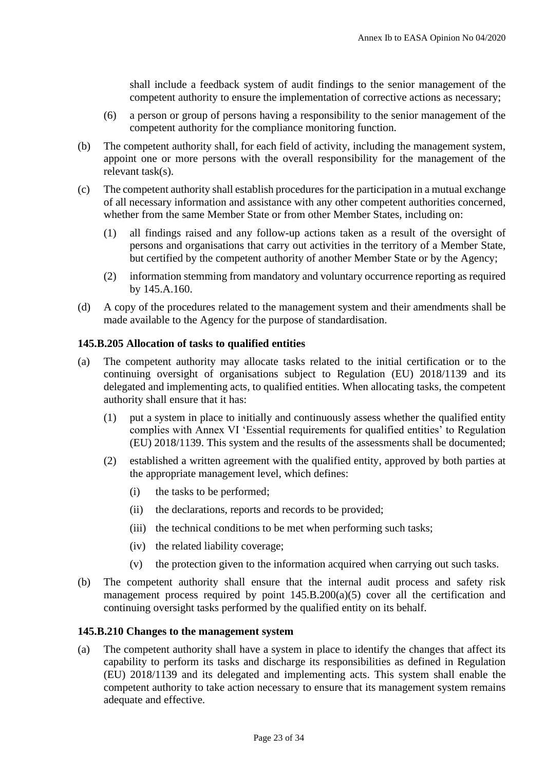shall include a feedback system of audit findings to the senior management of the competent authority to ensure the implementation of corrective actions as necessary;

- (6) a person or group of persons having a responsibility to the senior management of the competent authority for the compliance monitoring function.
- (b) The competent authority shall, for each field of activity, including the management system, appoint one or more persons with the overall responsibility for the management of the relevant task(s).
- (c) The competent authority shall establish procedures for the participation in a mutual exchange of all necessary information and assistance with any other competent authorities concerned, whether from the same Member State or from other Member States, including on:
	- (1) all findings raised and any follow-up actions taken as a result of the oversight of persons and organisations that carry out activities in the territory of a Member State, but certified by the competent authority of another Member State or by the Agency;
	- (2) information stemming from mandatory and voluntary occurrence reporting as required by 145.A.160.
- (d) A copy of the procedures related to the management system and their amendments shall be made available to the Agency for the purpose of standardisation.

### **145.B.205 Allocation of tasks to qualified entities**

- (a) The competent authority may allocate tasks related to the initial certification or to the continuing oversight of organisations subject to Regulation (EU) 2018/1139 and its delegated and implementing acts, to qualified entities. When allocating tasks, the competent authority shall ensure that it has:
	- (1) put a system in place to initially and continuously assess whether the qualified entity complies with Annex VI 'Essential requirements for qualified entities' to Regulation (EU) 2018/1139. This system and the results of the assessments shall be documented;
	- (2) established a written agreement with the qualified entity, approved by both parties at the appropriate management level, which defines:
		- (i) the tasks to be performed;
		- (ii) the declarations, reports and records to be provided;
		- (iii) the technical conditions to be met when performing such tasks;
		- (iv) the related liability coverage;
		- (v) the protection given to the information acquired when carrying out such tasks.
- (b) The competent authority shall ensure that the internal audit process and safety risk management process required by point 145.B.200(a)(5) cover all the certification and continuing oversight tasks performed by the qualified entity on its behalf.

### **145.B.210 Changes to the management system**

(a) The competent authority shall have a system in place to identify the changes that affect its capability to perform its tasks and discharge its responsibilities as defined in Regulation (EU) 2018/1139 and its delegated and implementing acts. This system shall enable the competent authority to take action necessary to ensure that its management system remains adequate and effective.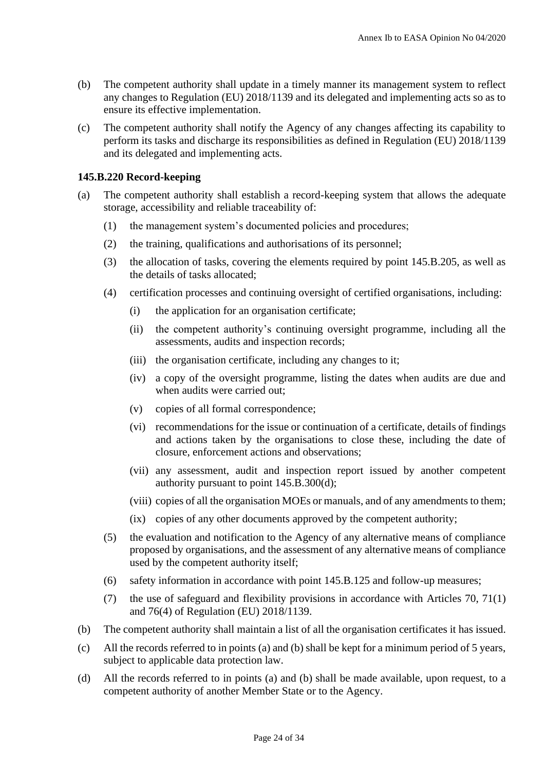- (b) The competent authority shall update in a timely manner its management system to reflect any changes to Regulation (EU) 2018/1139 and its delegated and implementing acts so as to ensure its effective implementation.
- (c) The competent authority shall notify the Agency of any changes affecting its capability to perform its tasks and discharge its responsibilities as defined in Regulation (EU) 2018/1139 and its delegated and implementing acts.

# **145.B.220 Record-keeping**

- (a) The competent authority shall establish a record-keeping system that allows the adequate storage, accessibility and reliable traceability of:
	- (1) the management system's documented policies and procedures;
	- (2) the training, qualifications and authorisations of its personnel;
	- (3) the allocation of tasks, covering the elements required by point 145.B.205, as well as the details of tasks allocated;
	- (4) certification processes and continuing oversight of certified organisations, including:
		- (i) the application for an organisation certificate;
		- (ii) the competent authority's continuing oversight programme, including all the assessments, audits and inspection records;
		- (iii) the organisation certificate, including any changes to it;
		- (iv) a copy of the oversight programme, listing the dates when audits are due and when audits were carried out;
		- (v) copies of all formal correspondence;
		- (vi) recommendations for the issue or continuation of a certificate, details of findings and actions taken by the organisations to close these, including the date of closure, enforcement actions and observations;
		- (vii) any assessment, audit and inspection report issued by another competent authority pursuant to point 145.B.300(d);
		- (viii) copies of all the organisation MOEs or manuals, and of any amendments to them;
		- (ix) copies of any other documents approved by the competent authority;
	- (5) the evaluation and notification to the Agency of any alternative means of compliance proposed by organisations, and the assessment of any alternative means of compliance used by the competent authority itself;
	- (6) safety information in accordance with point 145.B.125 and follow-up measures;
	- (7) the use of safeguard and flexibility provisions in accordance with Articles 70, 71(1) and 76(4) of Regulation (EU) 2018/1139.
- (b) The competent authority shall maintain a list of all the organisation certificates it has issued.
- (c) All the records referred to in points (a) and (b) shall be kept for a minimum period of 5 years, subject to applicable data protection law.
- (d) All the records referred to in points (a) and (b) shall be made available, upon request, to a competent authority of another Member State or to the Agency.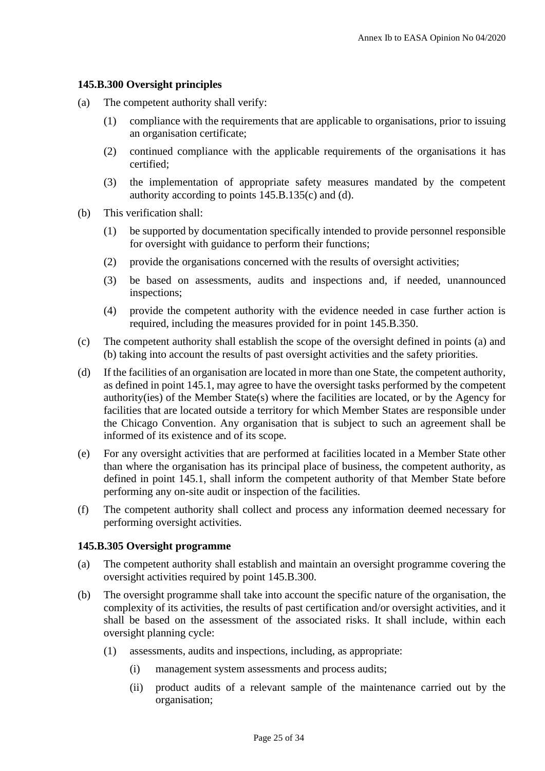### **145.B.300 Oversight principles**

- (a) The competent authority shall verify:
	- (1) compliance with the requirements that are applicable to organisations, prior to issuing an organisation certificate;
	- (2) continued compliance with the applicable requirements of the organisations it has certified;
	- (3) the implementation of appropriate safety measures mandated by the competent authority according to points 145.B.135(c) and (d).
- (b) This verification shall:
	- (1) be supported by documentation specifically intended to provide personnel responsible for oversight with guidance to perform their functions;
	- (2) provide the organisations concerned with the results of oversight activities;
	- (3) be based on assessments, audits and inspections and, if needed, unannounced inspections;
	- (4) provide the competent authority with the evidence needed in case further action is required, including the measures provided for in point 145.B.350.
- (c) The competent authority shall establish the scope of the oversight defined in points (a) and (b) taking into account the results of past oversight activities and the safety priorities.
- (d) If the facilities of an organisation are located in more than one State, the competent authority, as defined in point 145.1, may agree to have the oversight tasks performed by the competent authority(ies) of the Member State(s) where the facilities are located, or by the Agency for facilities that are located outside a territory for which Member States are responsible under the Chicago Convention. Any organisation that is subject to such an agreement shall be informed of its existence and of its scope.
- (e) For any oversight activities that are performed at facilities located in a Member State other than where the organisation has its principal place of business, the competent authority, as defined in point 145.1, shall inform the competent authority of that Member State before performing any on-site audit or inspection of the facilities.
- (f) The competent authority shall collect and process any information deemed necessary for performing oversight activities.

### **145.B.305 Oversight programme**

- (a) The competent authority shall establish and maintain an oversight programme covering the oversight activities required by point 145.B.300.
- (b) The oversight programme shall take into account the specific nature of the organisation, the complexity of its activities, the results of past certification and/or oversight activities, and it shall be based on the assessment of the associated risks. It shall include, within each oversight planning cycle:
	- (1) assessments, audits and inspections, including, as appropriate:
		- (i) management system assessments and process audits;
		- (ii) product audits of a relevant sample of the maintenance carried out by the organisation;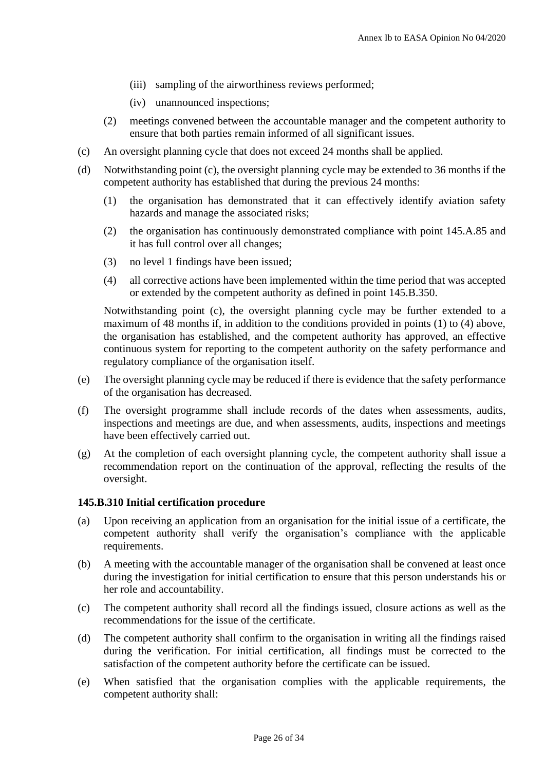- (iii) sampling of the airworthiness reviews performed;
- (iv) unannounced inspections;
- (2) meetings convened between the accountable manager and the competent authority to ensure that both parties remain informed of all significant issues.
- (c) An oversight planning cycle that does not exceed 24 months shall be applied.
- (d) Notwithstanding point (c), the oversight planning cycle may be extended to 36 months if the competent authority has established that during the previous 24 months:
	- (1) the organisation has demonstrated that it can effectively identify aviation safety hazards and manage the associated risks;
	- (2) the organisation has continuously demonstrated compliance with point 145.A.85 and it has full control over all changes;
	- (3) no level 1 findings have been issued;
	- (4) all corrective actions have been implemented within the time period that was accepted or extended by the competent authority as defined in point 145.B.350.

Notwithstanding point (c), the oversight planning cycle may be further extended to a maximum of 48 months if, in addition to the conditions provided in points (1) to (4) above, the organisation has established, and the competent authority has approved, an effective continuous system for reporting to the competent authority on the safety performance and regulatory compliance of the organisation itself.

- (e) The oversight planning cycle may be reduced if there is evidence that the safety performance of the organisation has decreased.
- (f) The oversight programme shall include records of the dates when assessments, audits, inspections and meetings are due, and when assessments, audits, inspections and meetings have been effectively carried out.
- (g) At the completion of each oversight planning cycle, the competent authority shall issue a recommendation report on the continuation of the approval, reflecting the results of the oversight.

## **145.B.310 Initial certification procedure**

- (a) Upon receiving an application from an organisation for the initial issue of a certificate, the competent authority shall verify the organisation's compliance with the applicable requirements.
- (b) A meeting with the accountable manager of the organisation shall be convened at least once during the investigation for initial certification to ensure that this person understands his or her role and accountability.
- (c) The competent authority shall record all the findings issued, closure actions as well as the recommendations for the issue of the certificate.
- (d) The competent authority shall confirm to the organisation in writing all the findings raised during the verification. For initial certification, all findings must be corrected to the satisfaction of the competent authority before the certificate can be issued.
- (e) When satisfied that the organisation complies with the applicable requirements, the competent authority shall: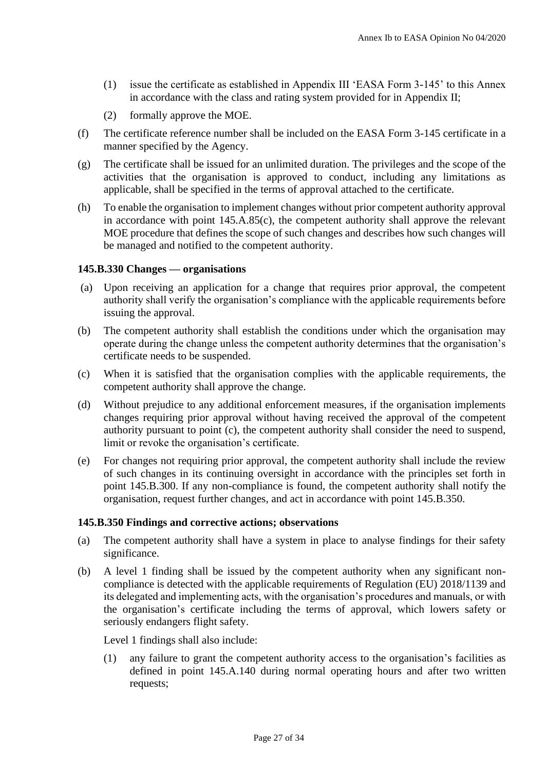- (1) issue the certificate as established in Appendix III 'EASA Form 3-145' to this Annex in accordance with the class and rating system provided for in Appendix II;
- (2) formally approve the MOE.
- (f) The certificate reference number shall be included on the EASA Form 3-145 certificate in a manner specified by the Agency.
- (g) The certificate shall be issued for an unlimited duration. The privileges and the scope of the activities that the organisation is approved to conduct, including any limitations as applicable, shall be specified in the terms of approval attached to the certificate.
- (h) To enable the organisation to implement changes without prior competent authority approval in accordance with point 145.A.85(c), the competent authority shall approve the relevant MOE procedure that defines the scope of such changes and describes how such changes will be managed and notified to the competent authority.

## **145.B.330 Changes — organisations**

- (a) Upon receiving an application for a change that requires prior approval, the competent authority shall verify the organisation's compliance with the applicable requirements before issuing the approval.
- (b) The competent authority shall establish the conditions under which the organisation may operate during the change unless the competent authority determines that the organisation's certificate needs to be suspended.
- (c) When it is satisfied that the organisation complies with the applicable requirements, the competent authority shall approve the change.
- (d) Without prejudice to any additional enforcement measures, if the organisation implements changes requiring prior approval without having received the approval of the competent authority pursuant to point (c), the competent authority shall consider the need to suspend, limit or revoke the organisation's certificate.
- (e) For changes not requiring prior approval, the competent authority shall include the review of such changes in its continuing oversight in accordance with the principles set forth in point 145.B.300. If any non-compliance is found, the competent authority shall notify the organisation, request further changes, and act in accordance with point 145.B.350.

### **145.B.350 Findings and corrective actions; observations**

- (a) The competent authority shall have a system in place to analyse findings for their safety significance.
- (b) A level 1 finding shall be issued by the competent authority when any significant noncompliance is detected with the applicable requirements of Regulation (EU) 2018/1139 and its delegated and implementing acts, with the organisation's procedures and manuals, or with the organisation's certificate including the terms of approval, which lowers safety or seriously endangers flight safety.

Level 1 findings shall also include:

(1) any failure to grant the competent authority access to the organisation's facilities as defined in point 145.A.140 during normal operating hours and after two written requests;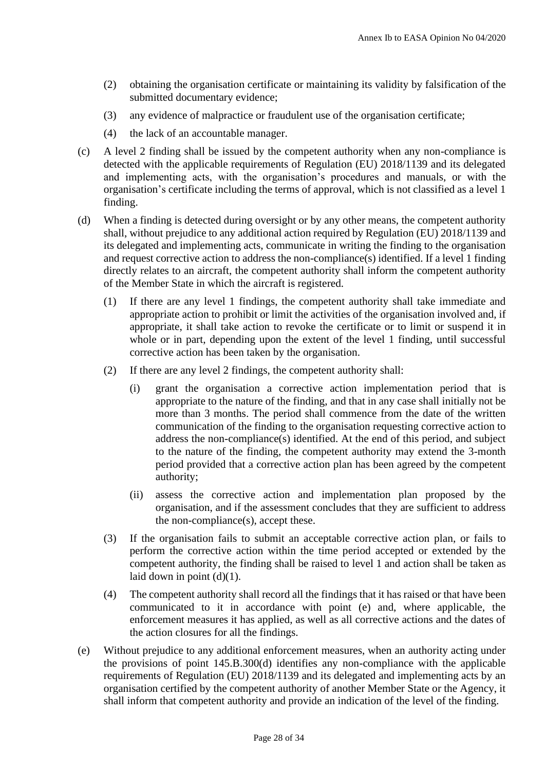- (2) obtaining the organisation certificate or maintaining its validity by falsification of the submitted documentary evidence;
- (3) any evidence of malpractice or fraudulent use of the organisation certificate;
- (4) the lack of an accountable manager.
- (c) A level 2 finding shall be issued by the competent authority when any non-compliance is detected with the applicable requirements of Regulation (EU) 2018/1139 and its delegated and implementing acts, with the organisation's procedures and manuals, or with the organisation's certificate including the terms of approval, which is not classified as a level 1 finding.
- (d) When a finding is detected during oversight or by any other means, the competent authority shall, without prejudice to any additional action required by Regulation (EU) 2018/1139 and its delegated and implementing acts, communicate in writing the finding to the organisation and request corrective action to address the non-compliance(s) identified. If a level 1 finding directly relates to an aircraft, the competent authority shall inform the competent authority of the Member State in which the aircraft is registered.
	- (1) If there are any level 1 findings, the competent authority shall take immediate and appropriate action to prohibit or limit the activities of the organisation involved and, if appropriate, it shall take action to revoke the certificate or to limit or suspend it in whole or in part, depending upon the extent of the level 1 finding, until successful corrective action has been taken by the organisation.
	- (2) If there are any level 2 findings, the competent authority shall:
		- (i) grant the organisation a corrective action implementation period that is appropriate to the nature of the finding, and that in any case shall initially not be more than 3 months. The period shall commence from the date of the written communication of the finding to the organisation requesting corrective action to address the non-compliance(s) identified. At the end of this period, and subject to the nature of the finding, the competent authority may extend the 3-month period provided that a corrective action plan has been agreed by the competent authority;
		- (ii) assess the corrective action and implementation plan proposed by the organisation, and if the assessment concludes that they are sufficient to address the non-compliance(s), accept these.
	- (3) If the organisation fails to submit an acceptable corrective action plan, or fails to perform the corrective action within the time period accepted or extended by the competent authority, the finding shall be raised to level 1 and action shall be taken as laid down in point  $(d)(1)$ .
	- (4) The competent authority shall record all the findings that it has raised or that have been communicated to it in accordance with point (e) and, where applicable, the enforcement measures it has applied, as well as all corrective actions and the dates of the action closures for all the findings.
- (e) Without prejudice to any additional enforcement measures, when an authority acting under the provisions of point 145.B.300(d) identifies any non-compliance with the applicable requirements of Regulation (EU) 2018/1139 and its delegated and implementing acts by an organisation certified by the competent authority of another Member State or the Agency, it shall inform that competent authority and provide an indication of the level of the finding.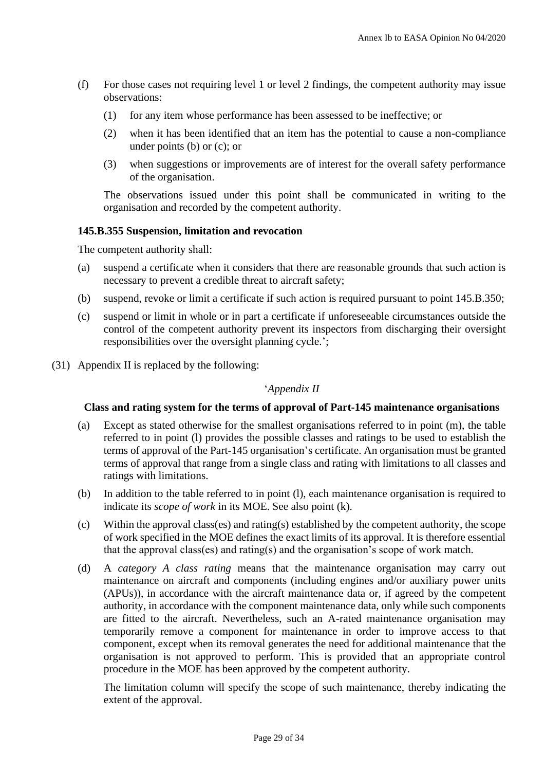- (f) For those cases not requiring level 1 or level 2 findings, the competent authority may issue observations:
	- (1) for any item whose performance has been assessed to be ineffective; or
	- (2) when it has been identified that an item has the potential to cause a non-compliance under points (b) or (c); or
	- (3) when suggestions or improvements are of interest for the overall safety performance of the organisation.

The observations issued under this point shall be communicated in writing to the organisation and recorded by the competent authority.

# **145.B.355 Suspension, limitation and revocation**

The competent authority shall:

- (a) suspend a certificate when it considers that there are reasonable grounds that such action is necessary to prevent a credible threat to aircraft safety;
- (b) suspend, revoke or limit a certificate if such action is required pursuant to point 145.B.350;
- (c) suspend or limit in whole or in part a certificate if unforeseeable circumstances outside the control of the competent authority prevent its inspectors from discharging their oversight responsibilities over the oversight planning cycle.';
- (31) Appendix II is replaced by the following:

## '*Appendix II*

## **Class and rating system for the terms of approval of Part-145 maintenance organisations**

- (a) Except as stated otherwise for the smallest organisations referred to in point (m), the table referred to in point (l) provides the possible classes and ratings to be used to establish the terms of approval of the Part-145 organisation's certificate. An organisation must be granted terms of approval that range from a single class and rating with limitations to all classes and ratings with limitations.
- (b) In addition to the table referred to in point (l), each maintenance organisation is required to indicate its *scope of work* in its MOE. See also point (k).
- (c) Within the approval class(es) and rating(s) established by the competent authority, the scope of work specified in the MOE defines the exact limits of its approval. It is therefore essential that the approval class(es) and rating(s) and the organisation's scope of work match.
- (d) A *category A class rating* means that the maintenance organisation may carry out maintenance on aircraft and components (including engines and/or auxiliary power units (APUs)), in accordance with the aircraft maintenance data or, if agreed by the competent authority, in accordance with the component maintenance data, only while such components are fitted to the aircraft. Nevertheless, such an A-rated maintenance organisation may temporarily remove a component for maintenance in order to improve access to that component, except when its removal generates the need for additional maintenance that the organisation is not approved to perform. This is provided that an appropriate control procedure in the MOE has been approved by the competent authority.

The limitation column will specify the scope of such maintenance, thereby indicating the extent of the approval.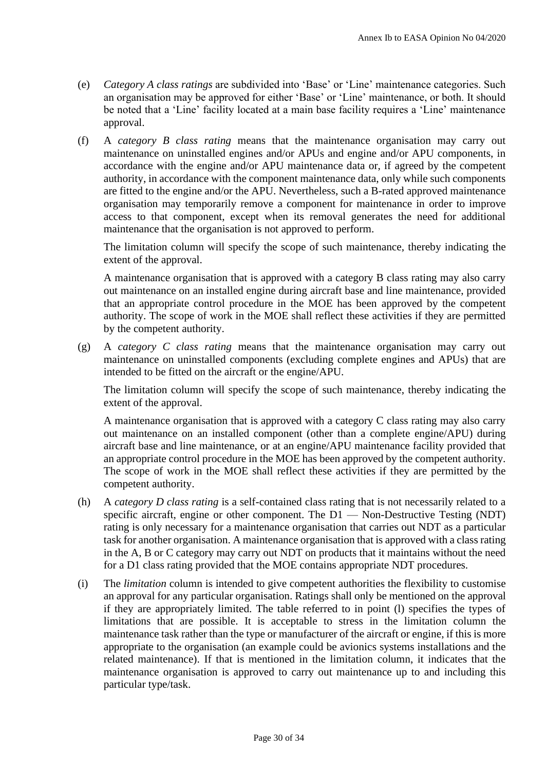- (e) *Category A class ratings* are subdivided into 'Base' or 'Line' maintenance categories. Such an organisation may be approved for either 'Base' or 'Line' maintenance, or both. It should be noted that a 'Line' facility located at a main base facility requires a 'Line' maintenance approval.
- (f) A *category B class rating* means that the maintenance organisation may carry out maintenance on uninstalled engines and/or APUs and engine and/or APU components, in accordance with the engine and/or APU maintenance data or, if agreed by the competent authority, in accordance with the component maintenance data, only while such components are fitted to the engine and/or the APU. Nevertheless, such a B-rated approved maintenance organisation may temporarily remove a component for maintenance in order to improve access to that component, except when its removal generates the need for additional maintenance that the organisation is not approved to perform.

The limitation column will specify the scope of such maintenance, thereby indicating the extent of the approval.

A maintenance organisation that is approved with a category B class rating may also carry out maintenance on an installed engine during aircraft base and line maintenance, provided that an appropriate control procedure in the MOE has been approved by the competent authority. The scope of work in the MOE shall reflect these activities if they are permitted by the competent authority.

(g) A *category C class rating* means that the maintenance organisation may carry out maintenance on uninstalled components (excluding complete engines and APUs) that are intended to be fitted on the aircraft or the engine/APU.

The limitation column will specify the scope of such maintenance, thereby indicating the extent of the approval.

A maintenance organisation that is approved with a category C class rating may also carry out maintenance on an installed component (other than a complete engine/APU) during aircraft base and line maintenance, or at an engine/APU maintenance facility provided that an appropriate control procedure in the MOE has been approved by the competent authority. The scope of work in the MOE shall reflect these activities if they are permitted by the competent authority.

- (h) A *category D class rating* is a self-contained class rating that is not necessarily related to a specific aircraft, engine or other component. The D1 — Non-Destructive Testing (NDT) rating is only necessary for a maintenance organisation that carries out NDT as a particular task for another organisation. A maintenance organisation that is approved with a class rating in the A, B or C category may carry out NDT on products that it maintains without the need for a D1 class rating provided that the MOE contains appropriate NDT procedures.
- (i) The *limitation* column is intended to give competent authorities the flexibility to customise an approval for any particular organisation. Ratings shall only be mentioned on the approval if they are appropriately limited. The table referred to in point (l) specifies the types of limitations that are possible. It is acceptable to stress in the limitation column the maintenance task rather than the type or manufacturer of the aircraft or engine, if this is more appropriate to the organisation (an example could be avionics systems installations and the related maintenance). If that is mentioned in the limitation column, it indicates that the maintenance organisation is approved to carry out maintenance up to and including this particular type/task.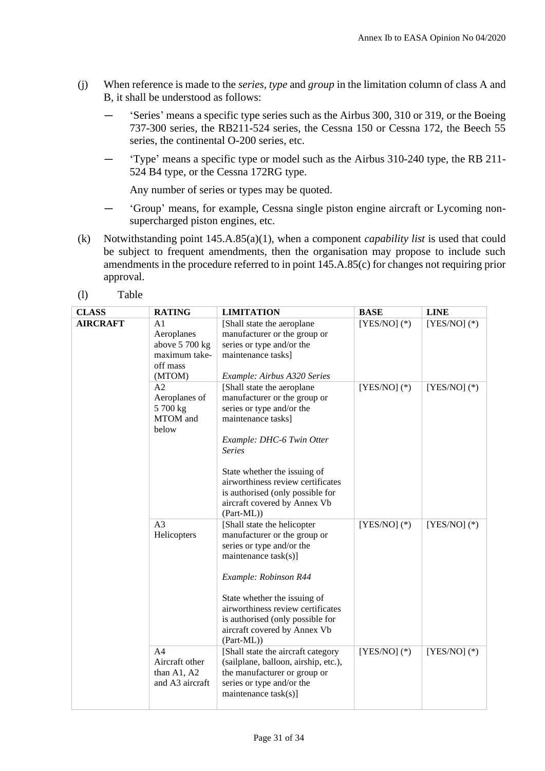- (j) When reference is made to the *series, type* and *group* in the limitation column of class A and B, it shall be understood as follows:
	- 'Series' means a specific type series such as the Airbus 300, 310 or 319, or the Boeing 737-300 series, the RB211-524 series, the Cessna 150 or Cessna 172, the Beech 55 series, the continental O-200 series, etc.
	- 'Type' means a specific type or model such as the Airbus 310-240 type, the RB 211- 524 B4 type, or the Cessna 172RG type.

Any number of series or types may be quoted.

- 'Group' means, for example, Cessna single piston engine aircraft or Lycoming nonsupercharged piston engines, etc.
- (k) Notwithstanding point 145.A.85(a)(1), when a component *capability list* is used that could be subject to frequent amendments, then the organisation may propose to include such amendments in the procedure referred to in point 145.A.85(c) for changes not requiring prior approval.
- (l) Table

| <b>CLASS</b>    | <b>RATING</b>                                                                         | <b>LIMITATION</b>                                                                                                                                                                                                                                                                  | <b>BASE</b>    | <b>LINE</b>    |
|-----------------|---------------------------------------------------------------------------------------|------------------------------------------------------------------------------------------------------------------------------------------------------------------------------------------------------------------------------------------------------------------------------------|----------------|----------------|
| <b>AIRCRAFT</b> | A <sub>1</sub><br>Aeroplanes<br>above 5 700 kg<br>maximum take-<br>off mass<br>(MTOM) | [Shall state the aeroplane<br>manufacturer or the group or<br>series or type and/or the<br>maintenance tasks]<br>Example: Airbus A320 Series                                                                                                                                       | $[YES/NO]$ (*) | $[YES/NO]$ (*) |
|                 | A <sub>2</sub><br>Aeroplanes of<br>5 700 kg<br>MTOM and<br>below                      | [Shall state the aeroplane<br>manufacturer or the group or<br>series or type and/or the<br>maintenance tasks]<br>Example: DHC-6 Twin Otter<br><b>Series</b><br>State whether the issuing of<br>airworthiness review certificates                                                   | $[YES/NO]$ (*) | $[YES/NO]$ (*) |
|                 |                                                                                       | is authorised (only possible for<br>aircraft covered by Annex Vb<br>(Part-ML))                                                                                                                                                                                                     |                |                |
|                 | A <sub>3</sub><br>Helicopters                                                         | [Shall state the helicopter<br>manufacturer or the group or<br>series or type and/or the<br>maintenance task(s)]<br>Example: Robinson R44<br>State whether the issuing of<br>airworthiness review certificates<br>is authorised (only possible for<br>aircraft covered by Annex Vb | $[YES/NO]$ (*) | $[YES/NO]$ (*) |
|                 |                                                                                       | (Part-ML))                                                                                                                                                                                                                                                                         |                |                |
|                 | A <sub>4</sub><br>Aircraft other<br>than A1, A2<br>and A3 aircraft                    | [Shall state the aircraft category<br>(sailplane, balloon, airship, etc.),<br>the manufacturer or group or<br>series or type and/or the<br>maintenance task(s)]                                                                                                                    | $[YES/NO]$ (*) | $[YES/NO]$ (*) |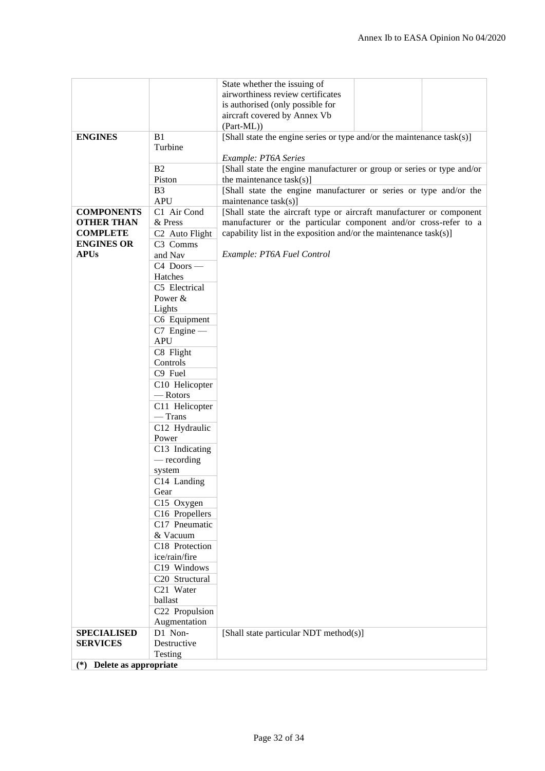|                                |                            | State whether the issuing of                                           |  |
|--------------------------------|----------------------------|------------------------------------------------------------------------|--|
|                                |                            | airworthiness review certificates                                      |  |
|                                |                            | is authorised (only possible for                                       |  |
|                                |                            | aircraft covered by Annex Vb                                           |  |
|                                |                            | (Part-ML))                                                             |  |
| <b>ENGINES</b>                 | B1                         | [Shall state the engine series or type and/or the maintenance task(s)] |  |
|                                | Turbine                    |                                                                        |  |
|                                |                            | Example: PT6A Series                                                   |  |
|                                | B <sub>2</sub>             | [Shall state the engine manufacturer or group or series or type and/or |  |
|                                | Piston                     | the maintenance $task(s)]$                                             |  |
|                                | B <sub>3</sub>             | [Shall state the engine manufacturer or series or type and/or the      |  |
|                                | <b>APU</b>                 | maintenance task(s)]                                                   |  |
| <b>COMPONENTS</b>              | C1 Air Cond                | [Shall state the aircraft type or aircraft manufacturer or component   |  |
| <b>OTHER THAN</b>              | & Press                    | manufacturer or the particular component and/or cross-refer to a       |  |
| <b>COMPLETE</b>                | C <sub>2</sub> Auto Flight | capability list in the exposition and/or the maintenance $task(s)$ ]   |  |
| <b>ENGINES OR</b>              | C3 Comms                   |                                                                        |  |
| <b>APUs</b>                    |                            | Example: PT6A Fuel Control                                             |  |
|                                | and Nav                    |                                                                        |  |
|                                | $C4$ Doors —               |                                                                        |  |
|                                | Hatches                    |                                                                        |  |
|                                | C5 Electrical              |                                                                        |  |
|                                | Power &                    |                                                                        |  |
|                                | Lights                     |                                                                        |  |
|                                | C6 Equipment               |                                                                        |  |
|                                | $C7$ Engine —              |                                                                        |  |
|                                | <b>APU</b>                 |                                                                        |  |
|                                | C8 Flight                  |                                                                        |  |
|                                | Controls                   |                                                                        |  |
|                                | C9 Fuel                    |                                                                        |  |
|                                | C10 Helicopter             |                                                                        |  |
|                                | -Rotors                    |                                                                        |  |
|                                | C11 Helicopter             |                                                                        |  |
|                                | $-$ Trans                  |                                                                        |  |
|                                | C12 Hydraulic              |                                                                        |  |
|                                | Power                      |                                                                        |  |
|                                |                            |                                                                        |  |
|                                | C13 Indicating             |                                                                        |  |
|                                | — recording                |                                                                        |  |
|                                | system                     |                                                                        |  |
|                                | C14 Landing                |                                                                        |  |
|                                | Gear                       |                                                                        |  |
|                                | C15 Oxygen                 |                                                                        |  |
|                                | C16 Propellers             |                                                                        |  |
|                                | C17 Pneumatic              |                                                                        |  |
|                                | & Vacuum                   |                                                                        |  |
|                                | C18 Protection             |                                                                        |  |
|                                | ice/rain/fire              |                                                                        |  |
|                                | C19 Windows                |                                                                        |  |
|                                | C20 Structural             |                                                                        |  |
|                                | C21 Water                  |                                                                        |  |
|                                | ballast                    |                                                                        |  |
|                                | C22 Propulsion             |                                                                        |  |
|                                | Augmentation               |                                                                        |  |
| <b>SPECIALISED</b>             | D1 Non-                    | [Shall state particular NDT method(s)]                                 |  |
| <b>SERVICES</b>                | Destructive                |                                                                        |  |
|                                | Testing                    |                                                                        |  |
| Delete as appropriate<br>$(*)$ |                            |                                                                        |  |
|                                |                            |                                                                        |  |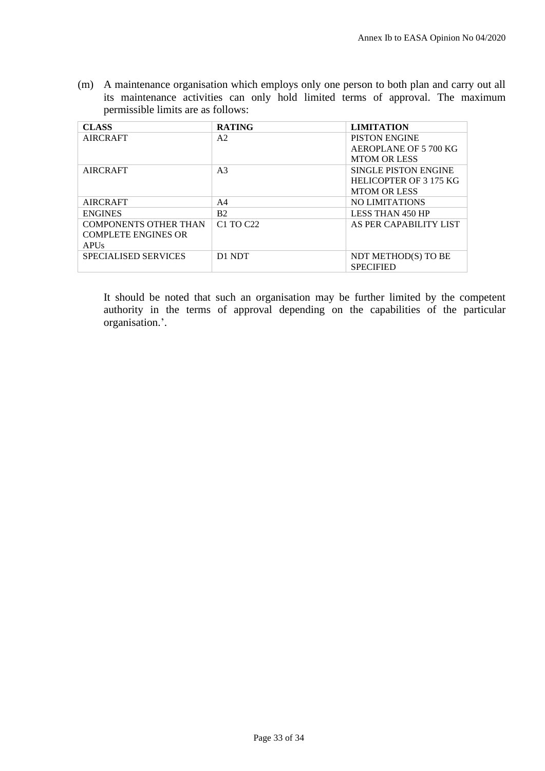(m) A maintenance organisation which employs only one person to both plan and carry out all its maintenance activities can only hold limited terms of approval. The maximum permissible limits are as follows:

| <b>CLASS</b>                 | <b>RATING</b>                     | <b>LIMITATION</b>           |
|------------------------------|-----------------------------------|-----------------------------|
| <b>AIRCRAFT</b>              | A2                                | <b>PISTON ENGINE</b>        |
|                              |                                   | AEROPLANE OF 5 700 KG       |
|                              |                                   | <b>MTOM OR LESS</b>         |
| <b>AIRCRAFT</b>              | A <sub>3</sub>                    | <b>SINGLE PISTON ENGINE</b> |
|                              |                                   | HELICOPTER OF 3 175 KG      |
|                              |                                   | <b>MTOM OR LESS</b>         |
| <b>AIRCRAFT</b>              | A4                                | <b>NO LIMITATIONS</b>       |
| <b>ENGINES</b>               | B <sub>2</sub>                    | <b>LESS THAN 450 HP</b>     |
| <b>COMPONENTS OTHER THAN</b> | C <sub>1</sub> TO C <sub>22</sub> | AS PER CAPABILITY LIST      |
| <b>COMPLETE ENGINES OR</b>   |                                   |                             |
| <b>APUs</b>                  |                                   |                             |
| <b>SPECIALISED SERVICES</b>  | D1 NDT                            | NDT METHOD(S) TO BE         |
|                              |                                   | <b>SPECIFIED</b>            |

It should be noted that such an organisation may be further limited by the competent authority in the terms of approval depending on the capabilities of the particular organisation.'.